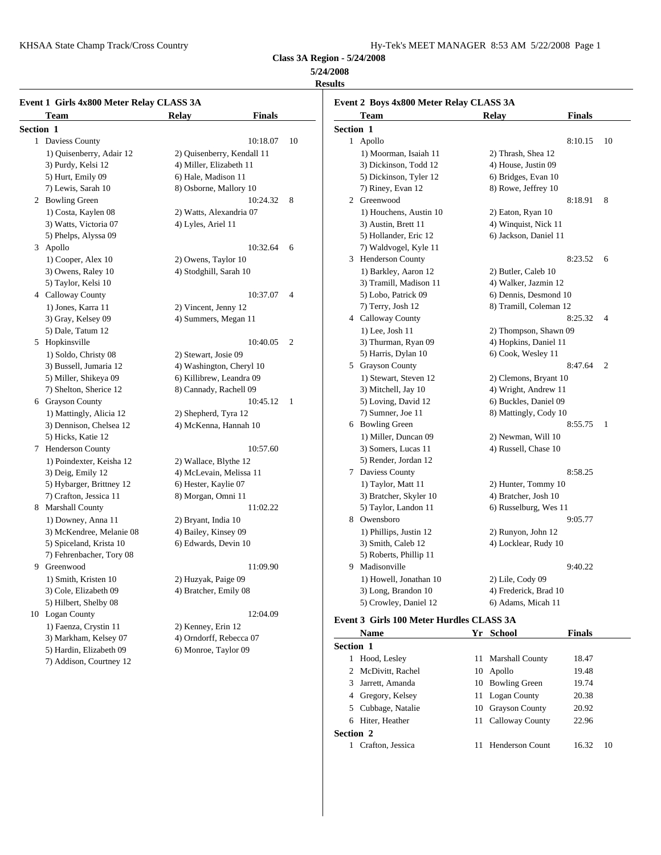KHSAA State Champ Track/Cross Country Hy-Tek's MEET MANAGER 8:53 AM 5/22/2008 Page 1

**Class 3A Region - 5/24/2008**

# **5/24/2008**

**Results**

|           | Event 1 Girls 4x800 Meter Relay CLASS 3A<br>Team | <b>Finals</b><br>Relay     |    | Tean       |
|-----------|--------------------------------------------------|----------------------------|----|------------|
| Section 1 |                                                  |                            |    | Section 1  |
|           | 1 Daviess County                                 | 10:18.07                   | 10 | 1 Apoll    |
|           | 1) Quisenberry, Adair 12                         | 2) Quisenberry, Kendall 11 |    | $1)$ Mo    |
|           | 3) Purdy, Kelsi 12                               | 4) Miller, Elizabeth 11    |    | 3) Dio     |
|           | 5) Hurt, Emily 09                                | 6) Hale, Madison 11        |    | 5) Dio     |
|           | 7) Lewis, Sarah 10                               | 8) Osborne, Mallory 10     |    | 7) Rin     |
|           | 2 Bowling Green                                  | 10:24.32                   | 8  | Green<br>2 |
|           | 1) Costa, Kaylen 08                              | 2) Watts, Alexandria 07    |    | $1)$ Ho    |
|           | 3) Watts, Victoria 07                            | 4) Lyles, Ariel 11         |    | 3) Au      |
|           | 5) Phelps, Alyssa 09                             |                            |    | 5) Ho      |
|           | 3 Apollo                                         | 10:32.64                   | 6  | 7) Wε      |
|           | 1) Cooper, Alex 10                               | 2) Owens, Taylor 10        |    | Hend<br>3  |
|           | 3) Owens, Raley 10                               | 4) Stodghill, Sarah 10     |    | 1) Ba      |
|           | 5) Taylor, Kelsi 10                              |                            |    | 3) Tra     |
|           | 4 Calloway County                                | 10:37.07                   | 4  | 5) Lo      |
|           | 1) Jones, Karra 11                               | 2) Vincent, Jenny 12       |    | 7) Tei     |
|           | 3) Gray, Kelsey 09                               | 4) Summers, Megan 11       |    | 4 Callo    |
|           | 5) Dale, Tatum 12                                |                            |    | $1)$ Le    |
|           | 5 Hopkinsville                                   | 10:40.05                   | 2  | 3) Th      |
|           | 1) Soldo, Christy 08                             | 2) Stewart, Josie 09       |    | 5) Ha      |
|           | 3) Bussell, Jumaria 12                           | 4) Washington, Cheryl 10   |    | 5 Grays    |
|           | 5) Miller, Shikeya 09                            | 6) Killibrew, Leandra 09   |    | $1)$ Ste   |
|           | 7) Shelton, Sherice 12                           | 8) Cannady, Rachell 09     |    | 3) Mi      |
|           | 6 Grayson County                                 | 10:45.12                   | 1  | 5) Lo      |
|           | 1) Mattingly, Alicia 12                          | 2) Shepherd, Tyra 12       |    | 7) Sui     |
|           | 3) Dennison, Chelsea 12                          | 4) McKenna, Hannah 10      |    | 6 Bowli    |
|           | 5) Hicks, Katie 12                               |                            |    | $1)$ Mi    |
|           | 7 Henderson County                               | 10:57.60                   |    | 3) Sor     |
|           | 1) Poindexter, Keisha 12                         | 2) Wallace, Blythe 12      |    | 5) Re:     |
|           | 3) Deig, Emily 12                                | 4) McLevain, Melissa 11    |    | 7<br>Davie |
|           | 5) Hybarger, Brittney 12                         | 6) Hester, Kaylie 07       |    | 1) Ta      |
|           | 7) Crafton, Jessica 11                           | 8) Morgan, Omni 11         |    | 3) Bra     |
|           | 8 Marshall County                                | 11:02.22                   |    | 5) Tay     |
|           | 1) Downey, Anna 11                               | 2) Bryant, India 10        |    | 8 Owen     |
|           | 3) McKendree, Melanie 08                         | 4) Bailey, Kinsey 09       |    | 1) Ph      |
|           | 5) Spiceland, Krista 10                          | 6) Edwards, Devin 10       |    | 3) Sm      |
|           | 7) Fehrenbacher, Tory 08                         |                            |    | 5) Ro      |
|           | 9 Greenwood                                      | 11:09.90                   |    | 9 Madis    |
|           | 1) Smith, Kristen 10                             | 2) Huzyak, Paige 09        |    | $1)$ Ho    |
|           | 3) Cole, Elizabeth 09                            | 4) Bratcher, Emily 08      |    | $3)$ Los   |
|           | 5) Hilbert, Shelby 08                            |                            |    | $5)$ Cro   |
|           | 10 Logan County                                  | 12:04.09                   |    | Event 3 Gi |
|           | 1) Faenza, Crystin 11                            | 2) Kenney, Erin 12         |    | Nam        |
|           | 3) Markham, Kelsey 07                            | 4) Orndorff, Rebecca 07    |    | Section 1  |
|           | 5) Hardin, Elizabeth 09                          | 6) Monroe, Taylor 09       |    | 1 Hood     |
|           | 7) Addison, Courtney 12                          |                            |    |            |

|                  | Team                   | <b>Relay</b>           | <b>Finals</b> |                |
|------------------|------------------------|------------------------|---------------|----------------|
| <b>Section 1</b> |                        |                        |               |                |
|                  | 1 Apollo               |                        | 8:10.15       | 10             |
|                  | 1) Moorman, Isaiah 11  | 2) Thrash, Shea 12     |               |                |
|                  | 3) Dickinson, Todd 12  | 4) House, Justin 09    |               |                |
|                  | 5) Dickinson, Tyler 12 | 6) Bridges, Evan 10    |               |                |
|                  | 7) Riney, Evan 12      | 8) Rowe, Jeffrey 10    |               |                |
|                  | 2 Greenwood            |                        | 8:18.91       | 8              |
|                  | 1) Houchens, Austin 10 | 2) Eaton, Ryan 10      |               |                |
|                  | 3) Austin, Brett 11    | 4) Winquist, Nick 11   |               |                |
|                  | 5) Hollander, Eric 12  | 6) Jackson, Daniel 11  |               |                |
|                  | 7) Waldvogel, Kyle 11  |                        |               |                |
|                  | 3 Henderson County     |                        | 8:23.52       | 6              |
|                  | 1) Barkley, Aaron 12   | 2) Butler, Caleb 10    |               |                |
|                  | 3) Tramill, Madison 11 | 4) Walker, Jazmin 12   |               |                |
|                  | 5) Lobo, Patrick 09    | 6) Dennis, Desmond 10  |               |                |
|                  | 7) Terry, Josh 12      | 8) Tramill, Coleman 12 |               |                |
|                  | 4 Calloway County      |                        | 8:25.32       | 4              |
|                  | $1)$ Lee, Josh $11$    | 2) Thompson, Shawn 09  |               |                |
|                  | 3) Thurman, Ryan 09    | 4) Hopkins, Daniel 11  |               |                |
|                  | 5) Harris, Dylan 10    | 6) Cook, Wesley 11     |               |                |
|                  | 5 Grayson County       |                        | 8:47.64       | $\overline{2}$ |
|                  | 1) Stewart, Steven 12  | 2) Clemons, Bryant 10  |               |                |
|                  | 3) Mitchell, Jay 10    | 4) Wright, Andrew 11   |               |                |
|                  | 5) Loving, David 12    | 6) Buckles, Daniel 09  |               |                |
|                  | 7) Sumner, Joe 11      | 8) Mattingly, Cody 10  |               |                |
|                  | 6 Bowling Green        |                        | 8:55.75       | 1              |
|                  | 1) Miller, Duncan 09   | 2) Newman, Will 10     |               |                |
|                  | 3) Somers, Lucas 11    | 4) Russell, Chase 10   |               |                |
|                  | 5) Render, Jordan 12   |                        |               |                |
|                  | 7 Daviess County       |                        | 8:58.25       |                |
|                  | 1) Taylor, Matt 11     | 2) Hunter, Tommy 10    |               |                |
|                  | 3) Bratcher, Skyler 10 | 4) Bratcher, Josh 10   |               |                |
|                  | 5) Taylor, Landon 11   | 6) Russelburg, Wes 11  |               |                |
|                  | 8 Owensboro            |                        | 9:05.77       |                |
|                  | 1) Phillips, Justin 12 | 2) Runyon, John 12     |               |                |
|                  | 3) Smith, Caleb 12     | 4) Locklear, Rudy 10   |               |                |
|                  | 5) Roberts, Phillip 11 |                        |               |                |
|                  | 9 Madisonville         |                        | 9:40.22       |                |
|                  | 1) Howell, Jonathan 10 | $2)$ Lile, Cody 09     |               |                |
|                  | 3) Long, Brandon 10    | 4) Frederick, Brad 10  |               |                |
|                  | 5) Crowley, Daniel 12  | 6) Adams, Micah 11     |               |                |
|                  |                        |                        |               |                |

# **Event 3 Girls 100 Meter Hurdles CLASS 3A**

|                  | <b>Name</b>        |    | Yr School              | <b>Finals</b> |    |
|------------------|--------------------|----|------------------------|---------------|----|
| <b>Section 1</b> |                    |    |                        |               |    |
|                  | Hood, Lesley       |    | 11 Marshall County     | 18.47         |    |
|                  | 2 McDivitt, Rachel | 10 | Apollo                 | 19.48         |    |
| 3.               | Jarrett, Amanda    |    | 10 Bowling Green       | 19.74         |    |
| 4                | Gregory, Kelsey    |    | 11 Logan County        | 20.38         |    |
|                  | 5 Cubbage, Natalie | 10 | <b>Grayson County</b>  | 20.92         |    |
| 6                | Hiter, Heather     | 11 | Calloway County        | 22.96         |    |
| <b>Section 2</b> |                    |    |                        |               |    |
|                  | Crafton, Jessica   |    | <b>Henderson Count</b> | 16.32         | 10 |
|                  |                    |    |                        |               |    |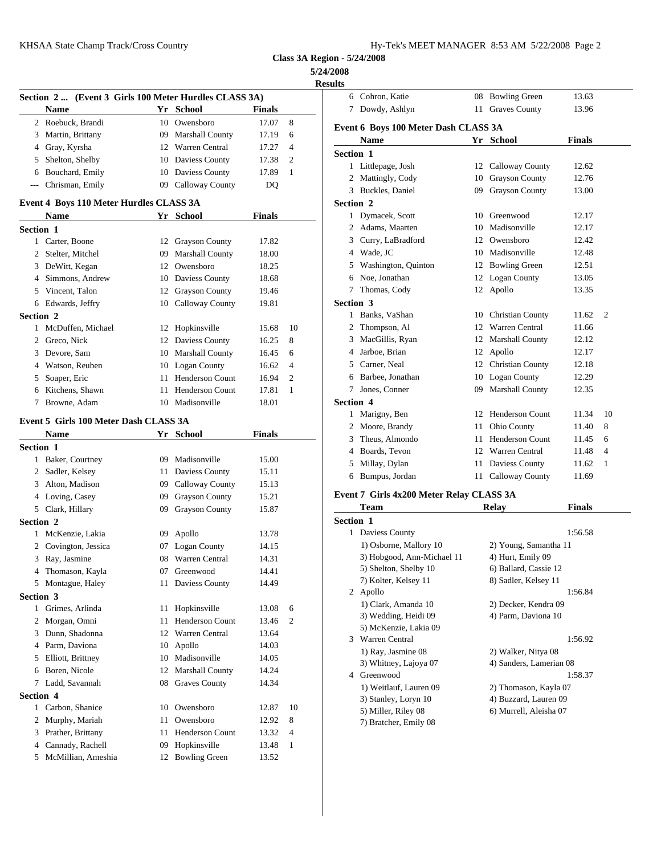| Iy-Tek's MEET MANAGER 8:53 AM 5/22/2008 Page 2 |  |  |  |
|------------------------------------------------|--|--|--|
|------------------------------------------------|--|--|--|

# **5/24/2008**

|                  |                                                       |    |                     |               |    | results                    |
|------------------|-------------------------------------------------------|----|---------------------|---------------|----|----------------------------|
|                  | Section 2  (Event 3 Girls 100 Meter Hurdles CLASS 3A) |    |                     |               |    | 6 Cohron, K                |
|                  | Name                                                  |    | Yr School           | <b>Finals</b> |    | 7 Dowdy, A                 |
|                  | 2 Roebuck, Brandi                                     |    | 10 Owensboro        | 17.07         | 8  | <b>Event 6 Boys 1</b>      |
|                  | 3 Martin, Brittany                                    |    | 09 Marshall County  | 17.19         | 6  | Name                       |
|                  | 4 Gray, Kyrsha                                        |    | 12 Warren Central   | 17.27         | 4  | Section 1                  |
|                  | 5 Shelton, Shelby                                     |    | 10 Daviess County   | 17.38         | 2  | 1 Littlepage,              |
|                  | 6 Bouchard, Emily                                     |    | 10 Daviess County   | 17.89         | 1  | 2 Mattingly,               |
|                  | --- Chrisman, Emily                                   |    | 09 Calloway County  | DQ            |    | 3 Buckles, D               |
|                  | Event 4 Boys 110 Meter Hurdles CLASS 3A               |    |                     |               |    | Section 2                  |
|                  | Name                                                  |    | Yr School           | Finals        |    | 1 Dymacek,                 |
| <b>Section 1</b> |                                                       |    |                     |               |    | Adams, M<br>$\overline{2}$ |
|                  | 1 Carter, Boone                                       |    | 12 Grayson County   | 17.82         |    | Curry, LaE<br>3            |
|                  | 2 Stelter, Mitchel                                    |    | 09 Marshall County  | 18.00         |    | 4 Wade, JC                 |
|                  | 3 DeWitt, Kegan                                       |    | 12 Owensboro        | 18.25         |    | Washingto<br>5             |
|                  | 4 Simmons, Andrew                                     |    | 10 Daviess County   | 18.68         |    | Noe, Jonat<br>6            |
|                  | 5 Vincent, Talon                                      |    | 12 Grayson County   | 19.46         |    | Thomas, C<br>7             |
|                  | 6 Edwards, Jeffry                                     |    | 10 Calloway County  | 19.81         |    | Section 3                  |
| <b>Section 2</b> |                                                       |    |                     |               |    | 1 Banks, Va                |
|                  | 1 McDuffen, Michael                                   |    | 12 Hopkinsville     | 15.68         | 10 | $\mathbf{2}$<br>Thompson   |
|                  | 2 Greco, Nick                                         |    | 12 Daviess County   | 16.25         | 8  | MacGillis,<br>3            |
|                  | 3 Devore, Sam                                         |    | 10 Marshall County  | 16.45         | 6  | Jarboe, Bri<br>4           |
|                  | 4 Watson, Reuben                                      |    | 10 Logan County     | 16.62         | 4  | Carner, Ne<br>5.           |
| 5                | Soaper, Eric                                          |    | 11 Henderson Count  | 16.94         | 2  | Barbee, Jo                 |
| 6                | Kitchens, Shawn                                       |    | 11 Henderson Count  | 17.81         | 1  | Jones, Con<br>7            |
|                  | 7 Browne, Adam                                        |    | 10 Madisonville     | 18.01         |    | <b>Section 4</b>           |
|                  |                                                       |    |                     |               |    | 1 Marigny, I               |
|                  | Event 5 Girls 100 Meter Dash CLASS 3A                 |    |                     |               |    | 2 Moore, Br.               |
|                  | Name                                                  |    | Yr School           | <b>Finals</b> |    | Theus, Alr<br>3            |
| <b>Section 1</b> |                                                       |    |                     |               |    | 4 Boards, Te               |
|                  | 1 Baker, Courtney                                     |    | 09 Madisonville     | 15.00         |    | Millay, Dy<br>5            |
|                  | 2 Sadler, Kelsey                                      |    | 11 Daviess County   | 15.11         |    | 6 Bumpus, J                |
|                  | 3 Alton, Madison                                      |    | 09 Calloway County  | 15.13         |    |                            |
|                  | 4 Loving, Casey                                       |    | 09 Grayson County   | 15.21         |    | <b>Event 7 Girls 4</b>     |
|                  | 5 Clark, Hillary                                      |    | 09 Grayson County   | 15.87         |    | Team                       |
| <b>Section 2</b> |                                                       |    |                     |               |    | <b>Section 1</b>           |
|                  | 1 McKenzie, Lakia                                     |    | 09 Apollo           | 13.78         |    | 1 Daviess Co               |
|                  | 2 Covington, Jessica                                  | 07 | <b>Logan County</b> | 14.15         |    | 1) Osborn                  |
|                  | 3 Ray, Jasmine                                        |    | 08 Warren Central   | 14.31         |    | 3) Hobgoo                  |
| 4                | Thomason, Kayla                                       | 07 | Greenwood           | 14.41         |    | 5) Shelton,                |
|                  | 5 Montague, Haley                                     |    | 11 Daviess County   | 14.49         |    | 7) Kolter,<br>2            |
| Section 3        |                                                       |    |                     |               |    | Apollo<br>1) Clark, $A$    |
|                  | 1 Grimes, Arlinda                                     |    | 11 Hopkinsville     | 13.08         | 6  | 3) Weddin                  |
|                  | 2 Morgan, Omni                                        | 11 | Henderson Count     | 13.46         | 2  | 5) McKenz                  |
|                  | 3 Dunn, Shadonna                                      |    | 12 Warren Central   | 13.64         |    | 3 Warren Ce                |
|                  | 4 Parm, Daviona                                       |    | 10 Apollo           | 14.03         |    | 1) Ray, Jas                |
| 5                | Elliott, Brittney                                     |    | 10 Madisonville     | 14.05         |    | 3) Whitney                 |
|                  | 6 Boren, Nicole                                       |    | 12 Marshall County  | 14.24         |    | 4 Greenwoo                 |
|                  | 7 Ladd, Savannah                                      |    | 08 Graves County    | 14.34         |    | 1) Weitlau                 |
| <b>Section 4</b> |                                                       |    |                     |               |    | 3) Stanley,                |
|                  | 1 Carbon, Shanice                                     |    | 10 Owensboro        | 12.87         | 10 | 5) Miller, l               |
| $\overline{2}$   | Murphy, Mariah                                        | 11 | Owensboro           | 12.92         | 8  | 7) Bratche                 |
| 3                | Prather, Brittany                                     | 11 | Henderson Count     | 13.32         | 4  |                            |
|                  | 4 Cannady, Rachell                                    |    | 09 Hopkinsville     | 13.48         | 1  |                            |
|                  | 5 McMillian, Ameshia                                  |    | 12 Bowling Green    | 13.52         |    |                            |

| <b>Results</b>                                   |    |                                            |               |    |
|--------------------------------------------------|----|--------------------------------------------|---------------|----|
| 6 Cohron, Katie                                  |    | 08 Bowling Green                           | 13.63         |    |
| 7 Dowdy, Ashlyn                                  |    | 11 Graves County                           | 13.96         |    |
| Event 6 Boys 100 Meter Dash CLASS 3A             |    |                                            |               |    |
| Name                                             |    | Yr School                                  | <b>Finals</b> |    |
| <b>Section 1</b>                                 |    |                                            |               |    |
| 1 Littlepage, Josh                               |    | 12 Calloway County                         | 12.62         |    |
| 2 Mattingly, Cody                                | 10 | <b>Grayson County</b>                      | 12.76         |    |
| 3 Buckles, Daniel                                | 09 | <b>Grayson County</b>                      | 13.00         |    |
| Section 2                                        |    |                                            |               |    |
| 1 Dymacek, Scott                                 |    | 10 Greenwood                               | 12.17         |    |
| 2 Adams, Maarten                                 |    | 10 Madisonville                            | 12.17         |    |
| 3 Curry, LaBradford                              |    | 12 Owensboro                               | 12.42         |    |
| 4 Wade, JC                                       |    | 10 Madisonville                            | 12.48         |    |
| 5 Washington, Quinton                            |    | 12 Bowling Green                           | 12.51         |    |
| 6 Noe, Jonathan                                  |    | 12 Logan County                            | 13.05         |    |
| 7 Thomas, Cody                                   |    | 12 Apollo                                  | 13.35         |    |
| <b>Section 3</b>                                 |    |                                            |               |    |
| 1 Banks, VaShan                                  |    | 10 Christian County                        | 11.62         | 2  |
| 2 Thompson, Al                                   |    | 12 Warren Central                          | 11.66         |    |
| 3 MacGillis, Ryan                                |    | 12 Marshall County                         | 12.12         |    |
| 4 Jarboe, Brian                                  |    | 12 Apollo                                  | 12.17         |    |
| 5 Carner, Neal                                   |    | 12 Christian County                        | 12.18         |    |
| 6 Barbee, Jonathan                               |    | 10 Logan County                            | 12.29         |    |
| 7 Jones, Conner                                  |    | 09 Marshall County                         | 12.35         |    |
| <b>Section 4</b>                                 |    |                                            |               |    |
| 1 Marigny, Ben                                   |    | 12 Henderson Count                         | 11.34         | 10 |
| 2 Moore, Brandy                                  |    | 11 Ohio County                             | 11.40         | 8  |
| 3 Theus, Almondo                                 |    | 11 Henderson Count                         | 11.45         | 6  |
| 4 Boards, Tevon                                  |    | 12 Warren Central                          | 11.48         | 4  |
| 5 Millay, Dylan                                  |    | 11 Daviess County                          | 11.62         | 1  |
| 6 Bumpus, Jordan                                 |    | 11 Calloway County                         | 11.69         |    |
|                                                  |    |                                            |               |    |
| Event 7 Girls 4x200 Meter Relay CLASS 3A<br>Team |    | <b>Relay</b>                               | Finals        |    |
|                                                  |    |                                            |               |    |
| Section 1<br>1 Daviess County                    |    |                                            | 1:56.58       |    |
| 1) Osborne, Mallory 10                           |    |                                            |               |    |
| 3) Hobgood, Ann-Michael 11                       |    | 2) Young, Samantha 11<br>4) Hurt, Emily 09 |               |    |
| 5) Shelton, Shelby 10                            |    | 6) Ballard, Cassie 12                      |               |    |
| 7) Kolter, Kelsey 11                             |    | 8) Sadler, Kelsey 11                       |               |    |
| 2 Apollo                                         |    |                                            | 1:56.84       |    |
| 1) Clark, Amanda 10                              |    | 2) Decker, Kendra 09                       |               |    |
| 3) Wedding, Heidi 09                             |    | 4) Parm, Daviona 10                        |               |    |
| 5) McKenzie, Lakia 09                            |    |                                            |               |    |
| 3 Warren Central                                 |    |                                            | 1:56.92       |    |
| 1) Ray, Jasmine 08                               |    | 2) Walker, Nitya 08                        |               |    |
| 3) Whitney, Lajoya 07                            |    | 4) Sanders, Lamerian 08                    |               |    |
| 4 Greenwood                                      |    |                                            | 1:58.37       |    |
| 1) Weitlauf, Lauren 09                           |    | 2) Thomason, Kayla 07                      |               |    |
| 3) Stanley, Loryn 10                             |    | 4) Buzzard, Lauren 09                      |               |    |
| 5) Miller, Riley 08                              |    | 6) Murrell, Aleisha 07                     |               |    |

7) Bratcher, Emily 08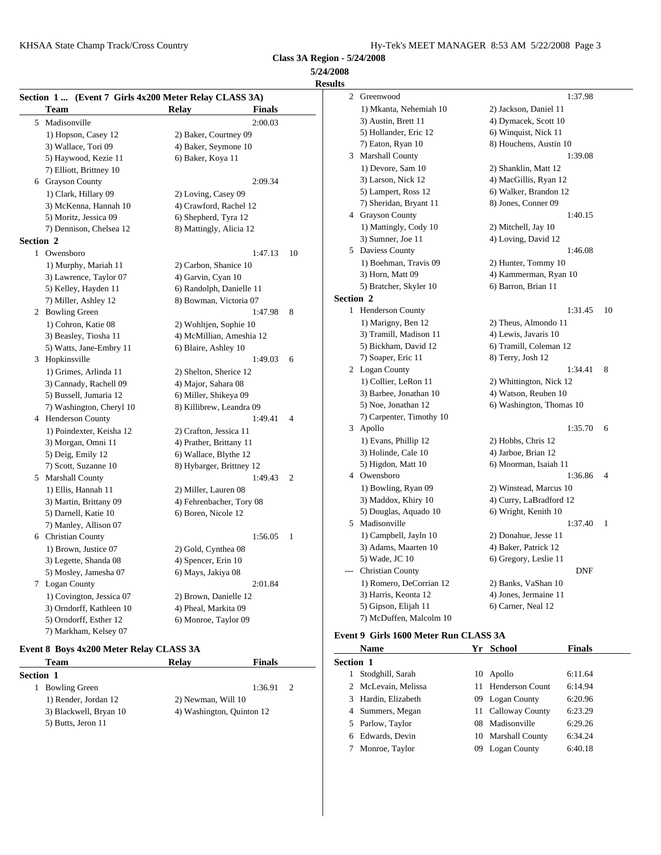**5/24/2008 Results**

|                  |                          | Section 1  (Event 7 Girls 4x200 Meter Relay CLASS 3A) | 2 Green              |
|------------------|--------------------------|-------------------------------------------------------|----------------------|
|                  | <b>Team</b>              | <b>Relay</b><br><b>Finals</b>                         | $1)$ M               |
|                  | 5 Madisonville           | 2:00.03                                               | $3)$ Au              |
|                  | 1) Hopson, Casey 12      | 2) Baker, Courtney 09                                 | 5) Ho                |
|                  | 3) Wallace, Tori 09      | 4) Baker, Seymone 10                                  | 7) Eat               |
|                  | 5) Haywood, Kezie 11     | 6) Baker, Koya 11                                     | 3 Marsh              |
|                  | 7) Elliott, Brittney 10  |                                                       | $1)$ De              |
|                  | 6 Grayson County         | 2:09.34                                               | $3)$ Lar             |
|                  | 1) Clark, Hillary 09     | 2) Loving, Casey 09                                   | 5) Lai               |
|                  | 3) McKenna, Hannah 10    | 4) Crawford, Rachel 12                                | $7)$ Sho             |
|                  | 5) Moritz, Jessica 09    | 6) Shepherd, Tyra 12                                  | 4 Grays              |
|                  | 7) Dennison, Chelsea 12  | 8) Mattingly, Alicia 12                               | $1)$ Ma              |
| <b>Section 2</b> |                          |                                                       | 3) Sui               |
|                  | 1 Owensboro              | 1:47.13<br>10                                         | 5 Davie              |
|                  | 1) Murphy, Mariah 11     | 2) Carbon, Shanice 10                                 | $1)$ Bo              |
|                  | 3) Lawrence, Taylor 07   | 4) Garvin, Cyan 10                                    | $3)$ Ho              |
|                  | 5) Kelley, Hayden 11     | 6) Randolph, Danielle 11                              | $5)$ Bra             |
|                  | 7) Miller, Ashley 12     | 8) Bowman, Victoria 07                                | Section 2            |
|                  | 2 Bowling Green          | 1:47.98<br>8                                          | $\mathbf{1}$<br>Hend |
|                  | 1) Cohron, Katie 08      | 2) Wohltjen, Sophie 10                                | $1)$ Ma              |
|                  | 3) Beasley, Tiosha 11    | 4) McMillian, Ameshia 12                              | $3)$ Tra             |
|                  | 5) Watts, Jane-Embry 11  | 6) Blaire, Ashley 10                                  | 5) Bio               |
|                  | 3 Hopkinsville           | 1:49.03<br>6                                          | 7) So:               |
|                  | 1) Grimes, Arlinda 11    | 2) Shelton, Sherice 12                                | 2 Logar              |
|                  | 3) Cannady, Rachell 09   | 4) Major, Sahara 08                                   | $1)$ Co              |
|                  | 5) Bussell, Jumaria 12   | 6) Miller, Shikeya 09                                 | 3) Ba                |
|                  | 7) Washington, Cheryl 10 | 8) Killibrew, Leandra 09                              | 5) No                |
|                  | 4 Henderson County       | 1:49.41<br>4                                          | 7) Ca                |
|                  | 1) Poindexter, Keisha 12 | 2) Crafton, Jessica 11                                | 3 Apoll              |
|                  | 3) Morgan, Omni 11       | 4) Prather, Brittany 11                               | $1)$ Ev              |
|                  | 5) Deig, Emily 12        | 6) Wallace, Blythe 12                                 | $3)$ Ho              |
|                  | 7) Scott, Suzanne 10     | 8) Hybarger, Brittney 12                              | 5) Hig               |
|                  | 5 Marshall County        | 1:49.43<br>$\overline{2}$                             | 4 Owen               |
|                  | 1) Ellis, Hannah 11      | 2) Miller, Lauren 08                                  | $1)$ Bo              |
|                  | 3) Martin, Brittany 09   | 4) Fehrenbacher, Tory 08                              | $3)$ Ma              |
|                  | 5) Darnell, Katie 10     | 6) Boren, Nicole 12                                   | 5) Do                |
|                  | 7) Manley, Allison 07    |                                                       | 5 Madis              |
|                  | 6 Christian County       | 1:56.05<br>1                                          | $1)$ Ca              |
|                  | 1) Brown, Justice 07     | 2) Gold, Cynthea 08                                   | $3)$ Ad              |
|                  | 3) Legette, Shanda 08    | 4) Spencer, Erin 10                                   | 5) Wε                |
|                  | 5) Mosley, Jamesha 07    | 6) Mays, Jakiya 08                                    | Christ               |
|                  | 7 Logan County           | 2:01.84                                               | 1) Ro                |
|                  | 1) Covington, Jessica 07 | 2) Brown, Danielle 12                                 | 3) Ha                |
|                  | 3) Orndorff, Kathleen 10 | 4) Pheal, Markita 09                                  | 5) Gip               |
|                  | 5) Orndorff, Esther 12   | 6) Monroe, Taylor 09                                  | 7) Mc                |
|                  | 7) Markham, Kelsey 07    |                                                       |                      |
|                  |                          |                                                       | $F$ vant 0 $C$ i     |

### **Event 8 Boys 4x200 Meter Relay CLASS 3A**

| Team                   | <b>Relav</b>       | Finals                    | Section 1 |        |
|------------------------|--------------------|---------------------------|-----------|--------|
| <b>Section 1</b>       |                    |                           |           | Stod   |
| <b>Bowling Green</b>   |                    | 1:36.91                   |           | 2 McI  |
| 1) Render, Jordan 12   | 2) Newman, Will 10 |                           |           | 3 Hard |
| 3) Blackwell, Bryan 10 |                    | 4) Washington, Quinton 12 |           | 4 Sum  |
| 5) Butts, Jeron 11     |                    |                           |           | Park   |

| uits             |                          |                          |    |
|------------------|--------------------------|--------------------------|----|
| $\overline{2}$   | Greenwood                | 1:37.98                  |    |
|                  | 1) Mkanta, Nehemiah 10   | 2) Jackson, Daniel 11    |    |
|                  | 3) Austin, Brett 11      | 4) Dymacek, Scott 10     |    |
|                  | 5) Hollander, Eric 12    | 6) Winquist, Nick 11     |    |
|                  | 7) Eaton, Ryan 10        | 8) Houchens, Austin 10   |    |
|                  | 3 Marshall County        | 1:39.08                  |    |
|                  | 1) Devore, Sam 10        | 2) Shanklin, Matt 12     |    |
|                  | 3) Larson, Nick 12       | 4) MacGillis, Ryan 12    |    |
|                  | 5) Lampert, Ross 12      | 6) Walker, Brandon 12    |    |
|                  | 7) Sheridan, Bryant 11   | 8) Jones, Conner 09      |    |
|                  | 4 Grayson County         | 1:40.15                  |    |
|                  | 1) Mattingly, Cody 10    | 2) Mitchell, Jay 10      |    |
|                  | 3) Sumner, Joe 11        | 4) Loving, David 12      |    |
|                  | 5 Daviess County         | 1:46.08                  |    |
|                  | 1) Boehman, Travis 09    | 2) Hunter, Tommy 10      |    |
|                  | 3) Horn, Matt 09         | 4) Kammerman, Ryan 10    |    |
|                  | 5) Bratcher, Skyler 10   | 6) Barron, Brian 11      |    |
| <b>Section 2</b> |                          |                          |    |
|                  | 1 Henderson County       | 1:31.45                  | 10 |
|                  | 1) Marigny, Ben 12       | 2) Theus, Almondo 11     |    |
|                  | 3) Tramill, Madison 11   | 4) Lewis, Javaris 10     |    |
|                  | 5) Bickham, David 12     | 6) Tramill, Coleman 12   |    |
|                  | 7) Soaper, Eric 11       | 8) Terry, Josh 12        |    |
|                  | 2 Logan County           | 1:34.41                  | 8  |
|                  | 1) Collier, LeRon 11     | 2) Whittington, Nick 12  |    |
|                  | 3) Barbee, Jonathan 10   | 4) Watson, Reuben 10     |    |
|                  | 5) Noe, Jonathan 12      | 6) Washington, Thomas 10 |    |
|                  | 7) Carpenter, Timothy 10 |                          |    |
|                  | 3 Apollo                 | 1:35.70                  | 6  |
|                  | 1) Evans, Phillip 12     | 2) Hobbs, Chris 12       |    |
|                  | 3) Holinde, Cale 10      | 4) Jarboe, Brian 12      |    |
|                  | 5) Higdon, Matt 10       | 6) Moorman, Isaiah 11    |    |
|                  | 4 Owensboro              | 1:36.86                  | 4  |
|                  | 1) Bowling, Ryan 09      | 2) Winstead, Marcus 10   |    |
|                  | 3) Maddox, Khiry 10      | 4) Curry, LaBradford 12  |    |
|                  | 5) Douglas, Aquado 10    | 6) Wright, Kenith 10     |    |
|                  | 5 Madisonville           | 1:37.40                  | 1  |
|                  | 1) Campbell, Jayln 10    | 2) Donahue, Jesse 11     |    |
|                  | 3) Adams, Maarten 10     | 4) Baker, Patrick 12     |    |
|                  | 5) Wade, JC 10           | 6) Gregory, Leslie 11    |    |
|                  | <b>Christian County</b>  | DNF                      |    |
|                  | 1) Romero, DeCorrian 12  | 2) Banks, VaShan 10      |    |
|                  | 3) Harris, Keonta 12     | 4) Jones, Jermaine 11    |    |
|                  | 5) Gipson, Elijah 11     | 6) Carner, Neal 12       |    |
|                  | 7) McDuffen, Malcolm 10  |                          |    |
|                  |                          |                          |    |

# **Event 9 Girls 1600 Meter Run CLASS 3A**

|   | Name                |     | Yr School          | <b>Finals</b> |  |  |  |
|---|---------------------|-----|--------------------|---------------|--|--|--|
|   | Section 1           |     |                    |               |  |  |  |
|   | Stodghill, Sarah    |     | 10 Apollo          | 6:11.64       |  |  |  |
|   | 2 McLevain, Melissa |     | 11 Henderson Count | 6:14.94       |  |  |  |
|   | 3 Hardin, Elizabeth |     | 09 Logan County    | 6:20.96       |  |  |  |
|   | 4 Summers, Megan    |     | 11 Calloway County | 6:23.29       |  |  |  |
|   | 5 Parlow, Taylor    |     | 08 Madisonville    | 6:29.26       |  |  |  |
| 6 | Edwards, Devin      |     | 10 Marshall County | 6:34.24       |  |  |  |
|   | Monroe, Taylor      | 09. | Logan County       | 6:40.18       |  |  |  |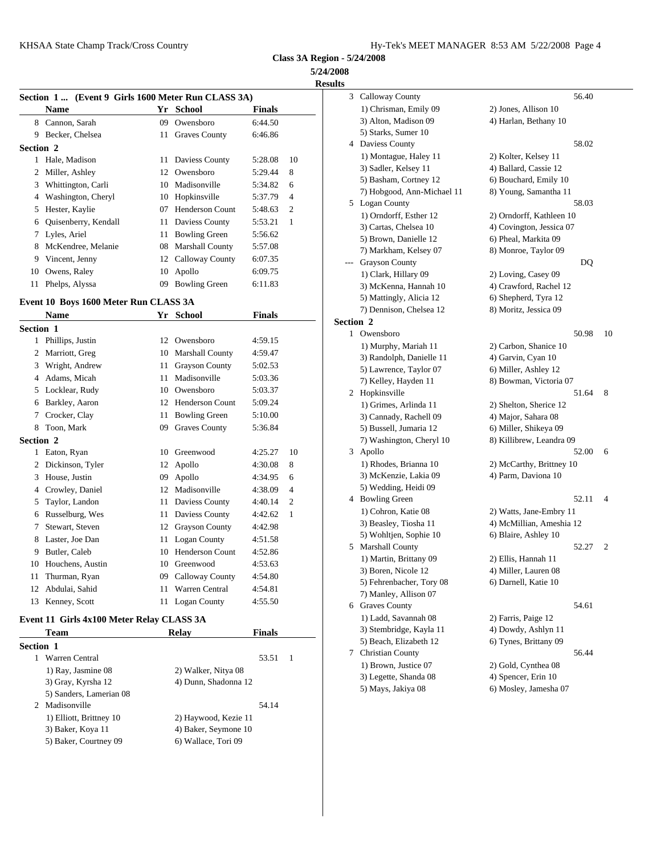**Class 3A Region - 5/24/2008 5/24/2008**

**Results**

|           | Section 1 (Event 9 Girls 1600 Meter Run CLASS 3A) |    |                      |         |                | 3 Callo            |
|-----------|---------------------------------------------------|----|----------------------|---------|----------------|--------------------|
|           | <b>Name</b>                                       |    | Yr School            | Finals  |                | $1)$ Ch            |
|           | 8 Cannon, Sarah                                   |    | 09 Owensboro         | 6:44.50 |                | $3)$ Alt           |
| 9         | Becker, Chelsea                                   | 11 | <b>Graves County</b> | 6:46.86 |                | 5) Sta             |
| Section 2 |                                                   |    |                      |         |                | Davie              |
|           | Hale, Madison                                     |    | 11 Daviess County    | 5:28.08 | 10             | $1)$ Mo            |
|           | 2 Miller, Ashley                                  |    | 12 Owensboro         | 5:29.44 | 8              | $3)$ Sac           |
| 3         | Whittington, Carli                                |    | 10 Madisonville      | 5:34.82 | 6              | 5) Ba              |
| 4         | Washington, Cheryl                                |    | 10 Hopkinsville      | 5:37.79 | $\overline{4}$ | 7) Ho              |
| 5.        | Hester, Kaylie                                    | 07 | Henderson Count      | 5:48.63 | $\overline{2}$ | Logar              |
|           | 6 Quisenberry, Kendall                            |    | 11 Daviess County    | 5:53.21 | 1              | $1)$ Or<br>$3)$ Ca |
|           | 7 Lyles, Ariel                                    |    | 11 Bowling Green     | 5:56.62 |                | $5)$ Bro           |
|           | McKendree, Melanie                                |    | 08 Marshall County   | 5:57.08 |                | 7) Ma              |
|           | 9 Vincent, Jenny                                  |    | 12 Calloway County   | 6:07.35 |                | Grays              |
| 10        | Owens, Raley                                      |    | 10 Apollo            | 6:09.75 |                | $1)$ Cla           |
| 11        | Phelps, Alyssa                                    | 09 | <b>Bowling Green</b> | 6:11.83 |                | 3) Mc              |

#### **Event 10 Boys 1600 Meter Run CLASS 3A**

|                  | <b>Name</b>      |    | Yr School              | <b>Finals</b> |                |           | 7) De                        |
|------------------|------------------|----|------------------------|---------------|----------------|-----------|------------------------------|
| <b>Section 1</b> |                  |    |                        |               |                | Section 2 |                              |
| 1                | Phillips, Justin | 12 | Owensboro              | 4:59.15       |                | 1         | Owen                         |
| 2                | Marriott, Greg   |    | 10 Marshall County     | 4:59.47       |                |           | $1)$ M                       |
| 3                | Wright, Andrew   | 11 | <b>Grayson County</b>  | 5:02.53       |                |           | 3) Ra<br>$5)$ La             |
| 4                | Adams, Micah     | 11 | Madisonville           | 5:03.36       |                |           | 7) Ke                        |
| 5                | Locklear, Rudy   | 10 | Owensboro              | 5:03.37       |                | 2         | Hopk                         |
| 6                | Barkley, Aaron   | 12 | <b>Henderson Count</b> | 5:09.24       |                |           | $1)$ Gr                      |
| 7                | Crocker, Clay    | 11 | <b>Bowling Green</b>   | 5:10.00       |                |           | 3) Ca                        |
| 8                | Toon, Mark       | 09 | <b>Graves County</b>   | 5:36.84       |                |           | 5) Bu                        |
| Section 2        |                  |    |                        |               |                |           | $7)$ W <sub>i</sub>          |
| 1                | Eaton, Ryan      | 10 | Greenwood              | 4:25.27       | 10             | 3         | Apoll                        |
| 2                | Dickinson, Tyler | 12 | Apollo                 | 4:30.08       | 8              |           | $1)$ Rh                      |
| 3                | House, Justin    | 09 | Apollo                 | 4:34.95       | 6              |           | 3) Mc                        |
| 4                | Crowley, Daniel  | 12 | Madisonville           | 4:38.09       | $\overline{4}$ |           | $5)$ We                      |
| 5                | Taylor, Landon   | 11 | Daviess County         | 4:40.14       | 2              | 4         | Bowli                        |
| 6                | Russelburg, Wes  | 11 | Daviess County         | 4:42.62       | 1              |           | $1)$ Co                      |
| 7                | Stewart, Steven  | 12 | <b>Grayson County</b>  | 4:42.98       |                |           | 3) Be                        |
| 8                | Laster, Joe Dan  | 11 | Logan County           | 4:51.58       |                |           | $5)$ Wo                      |
| 9                | Butler, Caleb    | 10 | <b>Henderson Count</b> | 4:52.86       |                | 5         | Marsh                        |
| 10               | Houchens, Austin | 10 | Greenwood              | 4:53.63       |                |           | $1)$ Ma                      |
| 11               | Thurman, Ryan    | 09 | Calloway County        | 4:54.80       |                |           | $3)$ Bo                      |
| 12               | Abdulai, Sahid   | 11 | <b>Warren Central</b>  | 4:54.81       |                |           | $5)$ Fel                     |
| 13               | Kenney, Scott    | 11 | <b>Logan County</b>    | 4:55.50       |                |           | 7) Ma<br>$6 \text{ }$ Crosse |

### **Event 11 Girls 4x100 Meter Relay CLASS 3A**

|                  | <b>Team</b>             | Relay                | <b>Finals</b> |  | $3)$ St |
|------------------|-------------------------|----------------------|---------------|--|---------|
| <b>Section 1</b> |                         |                      |               |  | $5)$ B  |
|                  | Warren Central          |                      | 53.51         |  | Chri    |
|                  | 1) Ray, Jasmine 08      | 2) Walker, Nitya 08  |               |  | $1)$ B  |
|                  | 3) Gray, Kyrsha 12      | 4) Dunn, Shadonna 12 |               |  | 3) L    |
|                  | 5) Sanders, Lamerian 08 |                      |               |  | $5)$ M  |
|                  | 2 Madisonville          |                      | 54.14         |  |         |
|                  | 1) Elliott, Brittney 10 | 2) Haywood, Kezie 11 |               |  |         |
|                  | 3) Baker, Koya 11       | 4) Baker, Seymone 10 |               |  |         |
|                  | 5) Baker, Courtney 09   | 6) Wallace, Tori 09  |               |  |         |
|                  |                         |                      |               |  |         |

| ılts      |                                                    |                                               |    |
|-----------|----------------------------------------------------|-----------------------------------------------|----|
|           | 3 Calloway County                                  | 56.40                                         |    |
|           | 1) Chrisman, Emily 09                              | 2) Jones, Allison 10                          |    |
|           | 3) Alton, Madison 09                               | 4) Harlan, Bethany 10                         |    |
|           | 5) Starks, Sumer 10                                |                                               |    |
|           | 4 Daviess County                                   | 58.02                                         |    |
|           | 1) Montague, Haley 11                              | 2) Kolter, Kelsey 11                          |    |
|           | 3) Sadler, Kelsey 11                               | 4) Ballard, Cassie 12                         |    |
|           | 5) Basham, Cortney 12                              | 6) Bouchard, Emily 10                         |    |
|           | 7) Hobgood, Ann-Michael 11                         | 8) Young, Samantha 11                         |    |
|           | 5 Logan County                                     | 58.03                                         |    |
|           | 1) Orndorff, Esther 12                             | 2) Orndorff, Kathleen 10                      |    |
|           | 3) Cartas, Chelsea 10                              | 4) Covington, Jessica 07                      |    |
|           | 5) Brown, Danielle 12                              | 6) Pheal, Markita 09                          |    |
|           | 7) Markham, Kelsey 07                              | 8) Monroe, Taylor 09                          |    |
|           | --- Grayson County                                 | DQ                                            |    |
|           | 1) Clark, Hillary 09                               | 2) Loving, Casey 09                           |    |
|           | 3) McKenna, Hannah 10                              | 4) Crawford, Rachel 12                        |    |
|           | 5) Mattingly, Alicia 12<br>7) Dennison, Chelsea 12 | 6) Shepherd, Tyra 12<br>8) Moritz, Jessica 09 |    |
| Section 2 |                                                    |                                               |    |
|           | 1 Owensboro                                        | 50.98                                         | 10 |
|           | 1) Murphy, Mariah 11                               | 2) Carbon, Shanice 10                         |    |
|           | 3) Randolph, Danielle 11                           | 4) Garvin, Cyan 10                            |    |
|           | 5) Lawrence, Taylor 07                             | 6) Miller, Ashley 12                          |    |
|           | 7) Kelley, Hayden 11                               | 8) Bowman, Victoria 07                        |    |
|           | 2 Hopkinsville                                     | 51.64                                         | 8  |
|           | 1) Grimes, Arlinda 11                              | 2) Shelton, Sherice 12                        |    |
|           | 3) Cannady, Rachell 09                             | 4) Major, Sahara 08                           |    |
|           | 5) Bussell, Jumaria 12                             | 6) Miller, Shikeya 09                         |    |
|           | 7) Washington, Cheryl 10                           | 8) Killibrew, Leandra 09                      |    |
|           | 3 Apollo                                           | 52.00                                         | 6  |
|           | 1) Rhodes, Brianna 10                              | 2) McCarthy, Brittney 10                      |    |
|           | 3) McKenzie, Lakia 09                              | 4) Parm, Daviona 10                           |    |
|           | 5) Wedding, Heidi 09                               |                                               |    |
|           | 4 Bowling Green                                    | 52.11                                         | 4  |
|           | 1) Cohron, Katie 08                                | 2) Watts, Jane-Embry 11                       |    |
|           | 3) Beasley, Tiosha 11                              | 4) McMillian, Ameshia 12                      |    |
|           | 5) Wohltjen, Sophie 10                             | 6) Blaire, Ashley 10                          |    |
|           | 5 Marshall County                                  | 52.27                                         | 2  |
|           | 1) Martin, Brittany 09                             | 2) Ellis, Hannah 11                           |    |
|           | 3) Boren, Nicole 12                                | 4) Miller, Lauren 08                          |    |
|           | 5) Fehrenbacher, Tory 08                           | 6) Darnell, Katie 10                          |    |
|           | 7) Manley, Allison 07                              |                                               |    |
|           | 6 Graves County                                    | 54.61                                         |    |
|           | 1) Ladd, Savannah 08                               | 2) Farris, Paige 12                           |    |
|           | 3) Stembridge, Kayla 11                            | 4) Dowdy, Ashlyn 11                           |    |
|           | 5) Beach, Elizabeth 12                             | 6) Tynes, Brittany 09                         |    |
|           | 7 Christian County                                 | 56.44                                         |    |
|           | 1) Brown, Justice 07                               | 2) Gold, Cynthea 08                           |    |
|           | 3) Legette, Shanda 08                              | 4) Spencer, Erin 10                           |    |
|           | 5) Mays, Jakiya 08                                 | 6) Mosley, Jamesha 07                         |    |
|           |                                                    |                                               |    |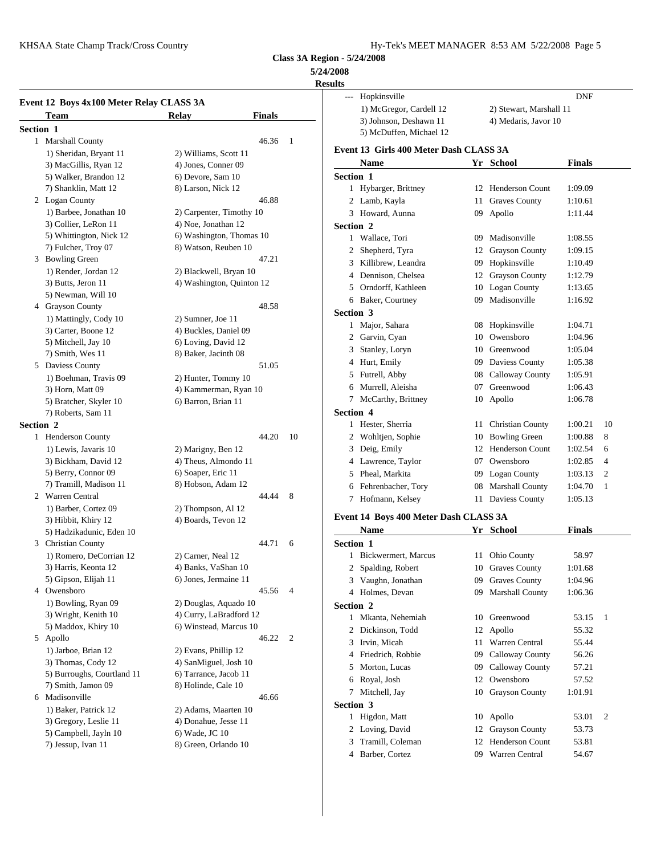$\overline{a}$ 

KHSAA State Champ Track/Cross Country Fig. 2008 Page 5 Hy-Tek's MEET MANAGER 8:53 AM 5/22/2008 Page 5

**Class 3A Region - 5/24/2008**

# **5/24/2008**

# **Results**

|                  | Event 12 Boys 4x100 Meter Relay CLASS 3A |                           |    | Hopk<br>$---$<br>$1)$ Mo |
|------------------|------------------------------------------|---------------------------|----|--------------------------|
|                  | Team                                     | Finals<br>Relay           |    | $3)$ Joh                 |
| <b>Section 1</b> |                                          |                           |    | 5) Mc                    |
|                  | 1 Marshall County                        | 46.36                     | 1  | Event 13 G               |
|                  | 1) Sheridan, Bryant 11                   | 2) Williams, Scott 11     |    |                          |
|                  | 3) MacGillis, Ryan 12                    | 4) Jones, Conner 09       |    | <b>Nam</b>               |
|                  | 5) Walker, Brandon 12                    | 6) Devore, Sam 10         |    | Section 1                |
|                  | 7) Shanklin, Matt 12                     | 8) Larson, Nick 12        |    | 1 Hybar                  |
|                  | 2 Logan County                           | 46.88                     |    | 2 Lamb                   |
|                  | 1) Barbee, Jonathan 10                   | 2) Carpenter, Timothy 10  |    | 3 Howa                   |
|                  | 3) Collier, LeRon 11                     | 4) Noe, Jonathan 12       |    | Section 2                |
|                  | 5) Whittington, Nick 12                  | 6) Washington, Thomas 10  |    | 1 Walla                  |
|                  | 7) Fulcher, Troy 07                      | 8) Watson, Reuben 10      |    | Sheph<br>2               |
|                  | 3 Bowling Green                          | 47.21                     |    | 3<br>Killib              |
|                  | 1) Render, Jordan 12                     | 2) Blackwell, Bryan 10    |    | 4 Denni                  |
|                  | 3) Butts, Jeron 11                       | 4) Washington, Quinton 12 |    | 5<br>Orndo               |
|                  | 5) Newman, Will 10                       |                           |    | 6<br>Baker               |
|                  | 4 Grayson County                         | 48.58                     |    | Section 3                |
|                  | 1) Mattingly, Cody 10                    | 2) Sumner, Joe 11         |    | 1 Major                  |
|                  | 3) Carter, Boone 12                      | 4) Buckles, Daniel 09     |    | 2 Garvi                  |
|                  | 5) Mitchell, Jay 10                      | 6) Loving, David 12       |    | 3 Stanle                 |
|                  | 7) Smith, Wes 11                         | 8) Baker, Jacinth 08      |    |                          |
|                  | 5 Daviess County                         | 51.05                     |    | 4 Hurt,                  |
|                  | 1) Boehman, Travis 09                    | 2) Hunter, Tommy 10       |    | Futrel<br>5              |
|                  | 3) Horn, Matt 09                         | 4) Kammerman, Ryan 10     |    | 6<br>Murre               |
|                  | 5) Bratcher, Skyler 10                   | 6) Barron, Brian 11       |    | 7<br>McCz                |
|                  | 7) Roberts, Sam 11                       |                           |    | Section 4                |
| <b>Section 2</b> |                                          |                           |    | Heste<br>1               |
|                  | 1 Henderson County                       | 44.20                     | 10 | Wohl<br>2                |
|                  | 1) Lewis, Javaris 10                     | 2) Marigny, Ben 12        |    | 3 Deig,                  |
|                  | 3) Bickham, David 12                     | 4) Theus, Almondo 11      |    | 4 Lawre                  |
|                  | 5) Berry, Connor 09                      | 6) Soaper, Eric 11        |    | 5 Pheal                  |
|                  | 7) Tramill, Madison 11                   | 8) Hobson, Adam 12        |    | 6 Fehre                  |
|                  | 2 Warren Central                         | 44.44                     | 8  | Hofm<br>7                |
|                  | 1) Barber, Cortez 09                     | 2) Thompson, Al 12        |    |                          |
|                  | 3) Hibbit, Khiry 12                      | 4) Boards, Tevon 12       |    | Event 14 B               |
|                  | 5) Hadzikadunic, Eden 10                 |                           |    | Nam                      |
|                  | 3 Christian County                       | 44.71                     | 6  | Section 1                |
|                  | 1) Romero, DeCorrian 12                  | 2) Carner, Neal 12        |    | Bicky<br>1               |
|                  | 3) Harris, Keonta 12                     | 4) Banks, VaShan 10       |    | $\overline{c}$<br>Spald  |
|                  | 5) Gipson, Elijah 11                     | 6) Jones, Jermaine 11     |    | 3<br>Vaugl               |
|                  | 4 Owensboro                              | 45.56                     | 4  | 4<br>Holm                |
|                  | 1) Bowling, Ryan 09                      | 2) Douglas, Aquado 10     |    |                          |
|                  | 3) Wright, Kenith 10                     | 4) Curry, LaBradford 12   |    | Section 2                |
|                  | 5) Maddox, Khiry 10                      | 6) Winstead, Marcus 10    |    | Mkan<br>$\mathbf{1}$     |
|                  | 5 Apollo                                 | 46.22                     | 2  | 2<br>Dicki               |
|                  | 1) Jarboe, Brian 12                      | 2) Evans, Phillip 12      |    | 3 Irvin,                 |
|                  | 3) Thomas, Cody 12                       | 4) SanMiguel, Josh 10     |    | 4 Friedr                 |
|                  | 5) Burroughs, Courtland 11               | 6) Tarrance, Jacob 11     |    | Morto<br>5               |
|                  | 7) Smith, Jamon 09                       | 8) Holinde, Cale 10       |    | 6<br>Royal               |
|                  | 6 Madisonville                           | 46.66                     |    | Mitch<br>7               |
|                  | 1) Baker, Patrick 12                     | 2) Adams, Maarten 10      |    | Section 3                |
|                  |                                          |                           |    | Higdo<br>1               |
|                  | 3) Gregory, Leslie 11                    | 4) Donahue, Jesse 11      |    | Lovin<br>2               |
|                  | 5) Campbell, Jayln 10                    | 6) Wade, JC 10            |    | 3<br>Trami               |
|                  | 7) Jessup, Ivan 11                       | 8) Green, Orlando 10      |    | 4<br><b>Barbe</b>        |
|                  |                                          |                           |    |                          |

|                | --- Hopkinsville                        |    |                         | DNF           |              |
|----------------|-----------------------------------------|----|-------------------------|---------------|--------------|
|                | 1) McGregor, Cardell 12                 |    | 2) Stewart, Marshall 11 |               |              |
|                | 3) Johnson, Deshawn 11                  |    | 4) Medaris, Javor 10    |               |              |
|                | 5) McDuffen, Michael 12                 |    |                         |               |              |
|                | Event 13  Girls 400 Meter Dash CLASS 3A |    |                         |               |              |
|                | <b>Name</b>                             |    |                         |               |              |
|                |                                         |    | Yr School               | <b>Finals</b> |              |
|                | <b>Section 1</b>                        |    |                         |               |              |
|                | 1 Hybarger, Brittney                    |    | 12 Henderson Count      | 1:09.09       |              |
|                | 2 Lamb, Kayla                           |    | 11 Graves County        | 1:10.61       |              |
|                | 3 Howard, Aunna                         |    | 09 Apollo               | 1:11.44       |              |
|                | <b>Section 2</b>                        |    |                         |               |              |
|                | 1 Wallace, Tori                         |    | 09 Madisonville         | 1:08.55       |              |
|                | 2 Shepherd, Tyra                        |    | 12 Grayson County       | 1:09.15       |              |
|                | 3 Killibrew, Leandra                    | 09 | Hopkinsville            | 1:10.49       |              |
|                | 4 Dennison, Chelsea                     |    | 12 Grayson County       | 1:12.79       |              |
|                | 5 Orndorff, Kathleen                    |    | 10 Logan County         | 1:13.65       |              |
|                | 6 Baker, Courtney                       |    | 09 Madisonville         | 1:16.92       |              |
|                | <b>Section 3</b>                        |    |                         |               |              |
|                | 1 Major, Sahara                         |    | 08 Hopkinsville         | 1:04.71       |              |
|                | 2 Garvin, Cyan                          |    | 10 Owensboro            | 1:04.96       |              |
|                | 3 Stanley, Loryn                        |    | 10 Greenwood            | 1:05.04       |              |
|                | 4 Hurt, Emily                           |    | 09 Daviess County       | 1:05.38       |              |
|                | 5 Futrell, Abby                         |    | 08 Calloway County      | 1:05.91       |              |
|                | 6 Murrell, Aleisha                      |    | 07 Greenwood            | 1:06.43       |              |
|                | 7 McCarthy, Brittney                    |    | 10 Apollo               | 1:06.78       |              |
|                | <b>Section 4</b>                        |    |                         |               |              |
|                | 1 Hester, Sherria                       |    | 11 Christian County     | 1:00.21       | 10           |
|                | 2 Wohltjen, Sophie                      |    | 10 Bowling Green        | 1:00.88       | 8            |
|                | 3 Deig, Emily                           |    | 12 Henderson Count      | 1:02.54       | 6            |
|                | 4 Lawrence, Taylor                      |    | 07 Owensboro            | 1:02.85       | 4            |
|                | 5 Pheal, Markita                        |    | 09 Logan County         | 1:03.13       | 2            |
|                | 6 Fehrenbacher, Tory                    |    | 08 Marshall County      | 1:04.70       | 1            |
|                | 7 Hofmann, Kelsey                       |    | 11 Daviess County       | 1:05.13       |              |
|                |                                         |    |                         |               |              |
|                | Event 14 Boys 400 Meter Dash CLASS 3A   |    |                         |               |              |
|                | Name                                    |    | Yr School               | Finals        |              |
|                | <b>Section 1</b>                        |    |                         |               |              |
|                | 1 Bickwermert, Marcus                   |    | 11 Ohio County          | 58.97         |              |
| $\overline{c}$ | Spalding, Robert                        |    | 10 Graves County        | 1:01.68       |              |
|                | 3 Vaughn, Jonathan                      |    | 09 Graves County        | 1:04.96       |              |
|                | 4 Holmes, Devan                         |    | 09 Marshall County      | 1:06.36       |              |
|                | Section 2                               |    |                         |               |              |
|                | 1 Mkanta, Nehemiah                      |    | 10 Greenwood            | 53.15         | $\mathbf{1}$ |
|                | 2 Dickinson, Todd                       |    | 12 Apollo               | 55.32         |              |
|                | 3 Irvin, Micah                          |    | 11 Warren Central       | 55.44         |              |
|                | 4 Friedrich, Robbie                     |    | 09 Calloway County      | 56.26         |              |
| 5              | Morton, Lucas                           |    | 09 Calloway County      | 57.21         |              |
| 6              | Royal, Josh                             |    | 12 Owensboro            | 57.52         |              |
| 7              | Mitchell, Jay                           |    | 10 Grayson County       | 1:01.91       |              |
|                | <b>Section 3</b>                        |    |                         |               |              |
|                |                                         |    |                         |               |              |
|                | 1 Higdon, Matt                          | 10 | Apollo                  | 53.01         | 2            |
|                | 2 Loving, David                         |    | 12 Grayson County       | 53.73         |              |
| 3              | Tramill, Coleman                        |    | 12 Henderson Count      | 53.81         |              |
|                | 4 Barber, Cortez                        |    | 09 Warren Central       | 54.67         |              |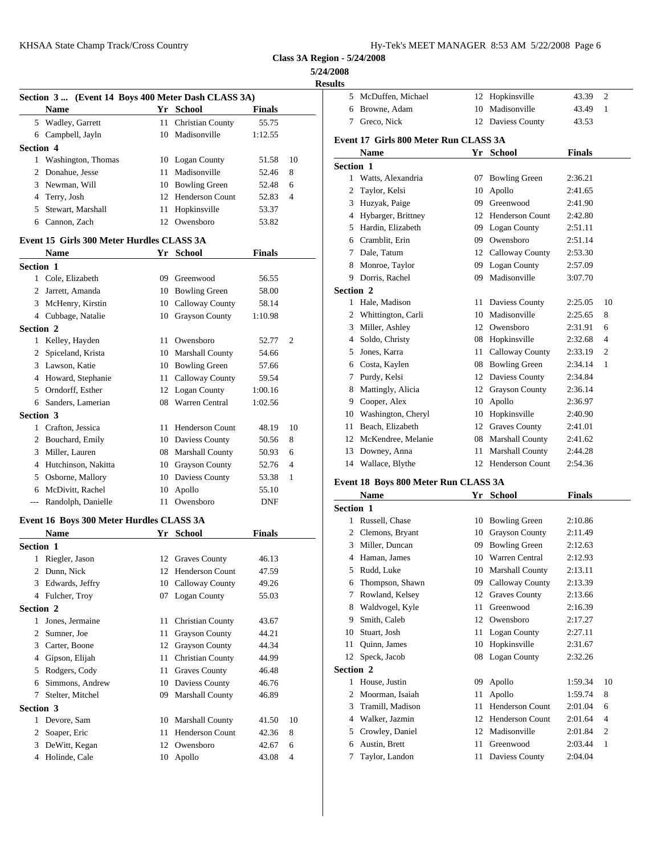## **5/24/2008**

**Results**

|                      |                                                    |    |                         |               |                | <b>Results</b>   |
|----------------------|----------------------------------------------------|----|-------------------------|---------------|----------------|------------------|
|                      | Section 3  (Event 14 Boys 400 Meter Dash CLASS 3A) |    |                         |               |                | 5 McDu           |
|                      | <b>Name</b>                                        |    | Yr School               | <b>Finals</b> |                | 6<br><b>Brow</b> |
|                      | 5 Wadley, Garrett                                  |    | 11 Christian County     | 55.75         |                | 7<br>Grecc       |
|                      | 6 Campbell, Jayln                                  |    | 10 Madisonville         | 1:12.55       |                | Event 17 G       |
| <b>Section 4</b>     |                                                    |    |                         |               |                | <b>Nam</b>       |
|                      | 1 Washington, Thomas                               |    | 10 Logan County         | 51.58         | 10             | <b>Section 1</b> |
|                      | 2 Donahue, Jesse                                   | 11 | Madisonville            | 52.46         | 8              | Watts<br>1       |
| 3                    | Newman, Will                                       | 10 | <b>Bowling Green</b>    | 52.48         | 6              | 2<br>Taylo       |
| 4                    | Terry, Josh                                        |    | 12 Henderson Count      | 52.83         | $\overline{4}$ | 3<br>Huzy        |
| 5                    | Stewart, Marshall                                  | 11 | Hopkinsville            | 53.37         |                | 4 Hybar          |
| 6                    | Cannon, Zach                                       |    | 12 Owensboro            | 53.82         |                | Hardi<br>5       |
|                      | Event 15 Girls 300 Meter Hurdles CLASS 3A          |    |                         |               |                | Cram<br>6        |
|                      | <b>Name</b>                                        |    | Yr School               | <b>Finals</b> |                | 7<br>Dale,       |
|                      |                                                    |    |                         |               |                | 8<br>Monr        |
| <b>Section 1</b>     | 1 Cole, Elizabeth                                  |    |                         |               |                | 9<br>Dorri:      |
|                      |                                                    |    | 09 Greenwood            | 56.55         |                | Section 2        |
|                      | 2 Jarrett, Amanda                                  |    | 10 Bowling Green        | 58.00         |                | Hale,<br>1.      |
|                      | 3 McHenry, Kirstin                                 |    | 10 Calloway County      | 58.14         |                | 2<br>Whitt       |
|                      | 4 Cubbage, Natalie                                 |    | 10 Grayson County       | 1:10.98       |                | Miller<br>3      |
| <b>Section 2</b>     |                                                    |    |                         |               |                | 4                |
|                      | 1 Kelley, Hayden                                   |    | 11 Owensboro            | 52.77         | $\overline{2}$ | Soldo            |
| 2                    | Spiceland, Krista                                  |    | 10 Marshall County      | 54.66         |                | Jones<br>5       |
|                      | 3 Lawson, Katie                                    |    | 10 Bowling Green        | 57.66         |                | Costa<br>6       |
|                      | 4 Howard, Stephanie                                |    | 11 Calloway County      | 59.54         |                | Purdy<br>7       |
| 5                    | Orndorff, Esther                                   |    | 12 Logan County         | 1:00.16       |                | Matti<br>8       |
|                      | 6 Sanders, Lamerian                                |    | 08 Warren Central       | 1:02.56       |                | 9.<br>Coop       |
| Section 3            |                                                    |    |                         |               |                | Wash<br>10       |
|                      | 1 Crafton, Jessica                                 |    | 11 Henderson Count      | 48.19         | 10             | Beach<br>11      |
|                      | 2 Bouchard, Emily                                  |    | 10 Daviess County       | 50.56         | 8              | McKe<br>12       |
| 3                    | Miller, Lauren                                     |    | 08 Marshall County      | 50.93         | 6              | 13<br>Down       |
| $\overline{4}$       | Hutchinson, Nakitta                                |    | 10 Grayson County       | 52.76         | 4              | Walla<br>14      |
| 5                    | Osborne, Mallory                                   |    | 10 Daviess County       | 53.38         | 1              | Event 18 B       |
| 6                    | McDivitt, Rachel                                   | 10 | Apollo                  | 55.10         |                | Nam              |
| $\scriptstyle\cdots$ | Randolph, Danielle                                 |    | 11 Owensboro            | DNF           |                | <b>Section 1</b> |
|                      | Event 16 Boys 300 Meter Hurdles CLASS 3A           |    |                         |               |                | 1<br>Russe       |
|                      | Name                                               |    | Yr School               | <b>Finals</b> |                | 2<br>Clem        |
| Section 1            |                                                    |    |                         |               |                | 3<br>Mille       |
| 1                    | Riegler, Jason                                     |    | 12 Graves County        | 46.13         |                | 4<br>Hama        |
|                      | 2 Dunn, Nick                                       |    | 12 Henderson Count      | 47.59         |                | Rudd<br>5        |
| 3                    | Edwards, Jeffry                                    |    | 10 Calloway County      | 49.26         |                | Thom<br>6        |
| 4                    | Fulcher, Troy                                      |    | 07 Logan County         | 55.03         |                | Rowl<br>7        |
| Section 2            |                                                    |    |                         |               |                | Wald<br>8        |
|                      | 1 Jones, Jermaine                                  | 11 | <b>Christian County</b> | 43.67         |                | Smith<br>9       |
| $\overline{2}$       | Sumner, Joe                                        | 11 | Grayson County          | 44.21         |                | Stuart<br>10     |
| 3                    | Carter, Boone                                      | 12 | <b>Grayson County</b>   | 44.34         |                | Quinr<br>11      |
| 4                    | Gipson, Elijah                                     | 11 | <b>Christian County</b> | 44.99         |                | 12<br>Speck      |
| 5                    | Rodgers, Cody                                      | 11 | <b>Graves County</b>    | 46.48         |                | Section 2        |
| 6                    | Simmons, Andrew                                    |    | 10 Daviess County       | 46.76         |                | 1<br>House       |
| 7                    | Stelter, Mitchel                                   | 09 | Marshall County         | 46.89         |                | 2<br>Moor        |
| Section 3            |                                                    |    |                         |               |                | 3<br>Trami       |
|                      | 1 Devore, Sam                                      |    | 10 Marshall County      |               | 10             | Walk<br>4        |
|                      |                                                    |    | <b>Henderson Count</b>  | 41.50         |                | Crow<br>5        |
| $\mathbf{2}$<br>3    | Soaper, Eric<br>DeWitt, Kegan                      | 11 | 12 Owensboro            | 42.36         | 8              | Austin<br>6      |
| 4                    |                                                    |    |                         | 42.67         | 6<br>4         | Taylo<br>7       |
|                      | Holinde, Cale                                      |    | 10 Apollo               | 43.08         |                |                  |
|                      |                                                    |    |                         |               |                |                  |

| lts              |                                        |    |                        |               |    |
|------------------|----------------------------------------|----|------------------------|---------------|----|
|                  | 5 McDuffen, Michael                    |    | 12 Hopkinsville        | 43.39         | 2  |
| 6                | Browne, Adam                           | 10 | Madisonville           | 43.49         | 1  |
| 7                | Greco, Nick                            |    | 12 Daviess County      | 43.53         |    |
|                  | Event 17  Girls 800 Meter Run CLASS 3A |    |                        |               |    |
|                  | Name                                   |    | Yr School              | <b>Finals</b> |    |
| <b>Section 1</b> |                                        |    |                        |               |    |
|                  | 1 Watts, Alexandria                    |    | 07 Bowling Green       | 2:36.21       |    |
|                  | 2 Taylor, Kelsi                        | 10 | Apollo                 | 2:41.65       |    |
|                  | 3 Huzyak, Paige                        |    | 09 Greenwood           | 2:41.90       |    |
|                  | 4 Hybarger, Brittney                   |    | 12 Henderson Count     | 2:42.80       |    |
|                  | 5 Hardin, Elizabeth                    |    | 09 Logan County        | 2:51.11       |    |
|                  | 6 Cramblit, Erin                       |    | 09 Owensboro           | 2:51.14       |    |
|                  | 7 Dale, Tatum                          |    | 12 Calloway County     | 2:53.30       |    |
|                  | 8 Monroe, Taylor                       |    | 09 Logan County        | 2:57.09       |    |
|                  | 9 Dorris, Rachel                       |    | 09 Madisonville        | 3:07.70       |    |
| <b>Section 2</b> |                                        |    |                        |               |    |
|                  | 1 Hale, Madison                        |    | 11 Daviess County      | 2:25.05       | 10 |
|                  | 2 Whittington, Carli                   | 10 | Madisonville           | 2:25.65       | 8  |
|                  | 3 Miller, Ashley                       |    | 12 Owensboro           | 2:31.91       | 6  |
|                  | 4 Soldo, Christy                       |    | 08 Hopkinsville        | 2:32.68       | 4  |
|                  | 5 Jones, Karra                         |    | 11 Calloway County     | 2:33.19       | 2  |
|                  | 6 Costa, Kaylen                        |    | 08 Bowling Green       | 2:34.14       | 1  |
|                  | 7 Purdy, Kelsi                         |    | 12 Daviess County      | 2:34.84       |    |
|                  | 8 Mattingly, Alicia                    |    | 12 Grayson County      | 2:36.14       |    |
|                  | 9 Cooper, Alex                         | 10 | Apollo                 | 2:36.97       |    |
|                  | 10 Washington, Cheryl                  |    | 10 Hopkinsville        | 2:40.90       |    |
|                  | 11 Beach, Elizabeth                    |    | 12 Graves County       | 2:41.01       |    |
|                  | 12 McKendree, Melanie                  |    | 08 Marshall County     | 2:41.62       |    |
|                  | 13 Downey, Anna                        |    | 11 Marshall County     | 2:44.28       |    |
|                  | 14 Wallace, Blythe                     |    | 12 Henderson Count     | 2:54.36       |    |
|                  | Event 18 Boys 800 Meter Run CLASS 3A   |    |                        |               |    |
|                  | <b>Name</b>                            |    | Yr School              | Finals        |    |
| <b>Section 1</b> |                                        |    |                        |               |    |
|                  | 1 Russell, Chase                       | 10 | <b>Bowling Green</b>   | 2:10.86       |    |
|                  | 2 Clemons, Bryant                      |    | 10 Grayson County      | 2:11.49       |    |
|                  | 3 Miller, Duncan                       |    | 09 Bowling Green       | 2:12.63       |    |
|                  | 4 Haman, James                         | 10 | Warren Central         | 2:12.93       |    |
| 5                | Rudd, Luke                             | 10 | <b>Marshall County</b> | 2:13.11       |    |
| 6                | Thompson, Shawn                        | 09 | Calloway County        | 2:13.39       |    |
| 7                | Rowland, Kelsey                        | 12 | <b>Graves County</b>   | 2:13.66       |    |
| 8                | Waldvogel, Kyle                        | 11 | Greenwood              | 2:16.39       |    |
| 9                | Smith, Caleb                           | 12 | Owensboro              | 2:17.27       |    |
| 10               | Stuart, Josh                           | 11 | Logan County           | 2:27.11       |    |
| 11               | Quinn, James                           | 10 | Hopkinsville           | 2:31.67       |    |
| 12               | Speck, Jacob                           |    | 08 Logan County        | 2:32.26       |    |
| Section 2        |                                        |    |                        |               |    |
|                  | 1 House, Justin                        | 09 | Apollo                 | 1:59.34       | 10 |
| 2                | Moorman, Isaiah                        | 11 | Apollo                 | 1:59.74       | 8  |
| 3                | Tramill, Madison                       | 11 | <b>Henderson Count</b> | 2:01.04       | 6  |
| 4                | Walker, Jazmin                         | 12 | Henderson Count        | 2:01.64       | 4  |
| 5                | Crowley, Daniel                        | 12 | Madisonville           | 2:01.84       | 2  |
| 6                | Austin, Brett                          | 11 | Greenwood              | 2:03.44       | 1  |
| 7                | Taylor, Landon                         | 11 | Daviess County         | 2:04.04       |    |
|                  |                                        |    |                        |               |    |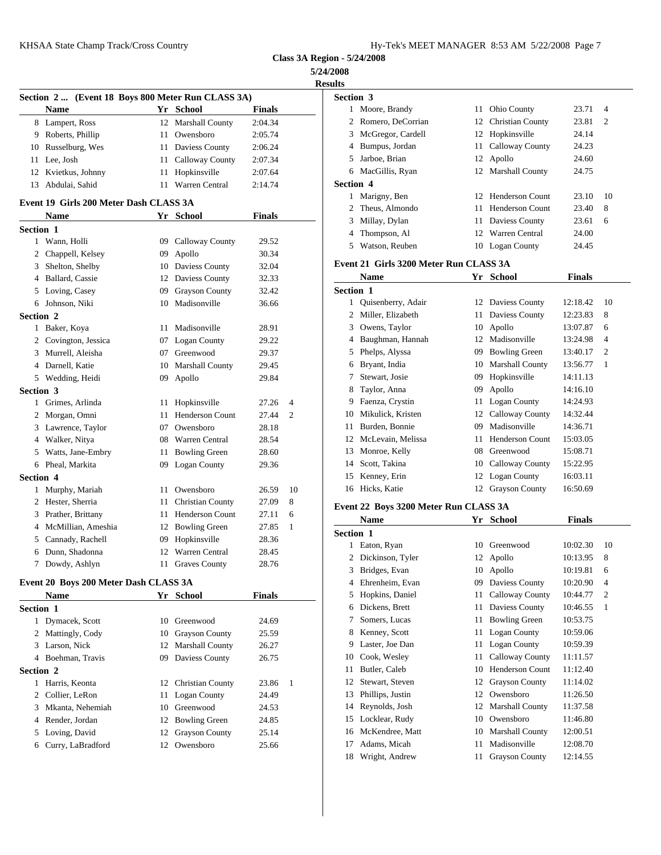**5/24/2008**

|                  |                                                   |    |                         |               |                | <b>Results</b>                  |
|------------------|---------------------------------------------------|----|-------------------------|---------------|----------------|---------------------------------|
|                  | Section 2  (Event 18 Boys 800 Meter Run CLASS 3A) |    |                         |               |                | <b>Section 3</b>                |
|                  | <b>Name</b>                                       |    | Yr School               | <b>Finals</b> |                | 1 Moor                          |
|                  | 8 Lampert, Ross                                   |    | 12 Marshall County      | 2:04.34       |                | 2<br>Rome                       |
|                  | 9 Roberts, Phillip                                | 11 | Owensboro               | 2:05.74       |                | McG<br>3                        |
|                  | 10 Russelburg, Wes                                |    | 11 Daviess County       | 2:06.24       |                | Bump<br>4                       |
|                  | 11 Lee, Josh                                      | 11 | <b>Calloway County</b>  | 2:07.34       |                | 5<br>Jarbo                      |
|                  | 12 Kvietkus, Johnny                               | 11 | Hopkinsville            | 2:07.64       |                | MacC<br>6                       |
| 13               | Abdulai, Sahid                                    |    | 11 Warren Central       | 2:14.74       |                | Section 4                       |
|                  |                                                   |    |                         |               |                | 1<br>Marig                      |
|                  | Event 19 Girls 200 Meter Dash CLASS 3A            |    |                         |               |                | Theus<br>2                      |
|                  | <b>Name</b>                                       |    | Yr School               | <b>Finals</b> |                | 3<br>Milla                      |
| Section 1        |                                                   |    |                         |               |                | 4<br>Thom                       |
|                  | 1 Wann, Holli                                     |    | 09 Calloway County      | 29.52         |                | 5<br>Watso                      |
|                  | 2 Chappell, Kelsey                                |    | 09 Apollo               | 30.34         |                |                                 |
| 3                | Shelton, Shelby                                   |    | 10 Daviess County       | 32.04         |                | Event 21 G                      |
|                  | 4 Ballard, Cassie                                 |    | 12 Daviess County       | 32.33         |                | <b>Nam</b>                      |
|                  | 5 Loving, Casey                                   | 09 | <b>Grayson County</b>   | 32.42         |                | <b>Section 1</b>                |
|                  | 6 Johnson, Niki                                   | 10 | Madisonville            | 36.66         |                | Quise<br>1                      |
| Section 2        |                                                   |    |                         |               |                | Miller<br>2                     |
| $\mathbf{1}$     | Baker, Koya                                       | 11 | Madisonville            | 28.91         |                | 3 Owen                          |
|                  | 2 Covington, Jessica                              |    | 07 Logan County         | 29.22         |                | 4 Baugl                         |
|                  | 3 Murrell, Aleisha                                |    | 07 Greenwood            | 29.37         |                | 5 Phelp                         |
|                  | 4 Darnell, Katie                                  |    | 10 Marshall County      | 29.45         |                | <b>Bryan</b><br>6               |
|                  | 5 Wedding, Heidi                                  |    | 09 Apollo               | 29.84         |                | Stewa<br>7                      |
| <b>Section 3</b> |                                                   |    |                         |               |                | Taylo<br>8                      |
|                  | 1 Grimes, Arlinda                                 | 11 | Hopkinsville            | 27.26         | $\overline{4}$ | Faenz<br>9                      |
|                  | 2 Morgan, Omni                                    | 11 | <b>Henderson Count</b>  | 27.44         | 2              | <b>Miku</b><br>10               |
|                  | 3 Lawrence, Taylor                                | 07 | Owensboro               | 28.18         |                | Burde<br>11                     |
|                  | 4 Walker, Nitya                                   |    | 08 Warren Central       | 28.54         |                | McLe<br>12                      |
| 5                | Watts, Jane-Embry                                 | 11 | <b>Bowling Green</b>    | 28.60         |                | Monr<br>13                      |
|                  | 6 Pheal, Markita                                  |    | 09 Logan County         | 29.36         |                | Scott,<br>14                    |
| <b>Section 4</b> |                                                   |    |                         |               |                | 15<br>Kenn                      |
|                  | 1 Murphy, Mariah                                  |    | 11 Owensboro            | 26.59         | 10             | Hicks<br>16                     |
|                  | 2 Hester, Sherria                                 | 11 | <b>Christian County</b> | 27.09         | 8              |                                 |
|                  | 3 Prather, Brittany                               | 11 | <b>Henderson Count</b>  | 27.11         | 6              | Event 22 B                      |
|                  | 4 McMillian, Ameshia                              |    | 12 Bowling Green        | 27.85         | $\mathbf{1}$   | <b>Nam</b>                      |
| 5                | Cannady, Rachell                                  | 09 | Hopkinsville            | 28.36         |                | <b>Section 1</b>                |
| 6                | Dunn, Shadonna                                    | 12 | Warren Central          | 28.45         |                | 1<br>Eaton                      |
| 7                | Dowdy, Ashlyn                                     | 11 | <b>Graves County</b>    | 28.76         |                | 2 Dicki<br>$\sim$ $\sim$ $\sim$ |
|                  |                                                   |    |                         |               |                |                                 |

# **Event 20 Boys 200 Meter Dash CLASS 3A**

|           | <b>Name</b>        |    | Yr School           | <b>Finals</b> |     |    | 5 Hop    |
|-----------|--------------------|----|---------------------|---------------|-----|----|----------|
| Section 1 |                    |    |                     |               |     |    | 6 Dick   |
|           | 1 Dymacek, Scott   |    | 10 Greenwood        | 24.69         |     |    | 7 Som    |
|           | 2 Mattingly, Cody  |    | 10 Grayson County   | 25.59         |     |    | 8 Ken    |
|           | 3 Larson, Nick     |    | 12 Marshall County  | 26.27         |     | 9  | Last     |
|           | 4 Boehman, Travis  | 09 | Daviess County      | 26.75         |     |    | 10 Cool  |
| Section 2 |                    |    |                     |               |     |    | 11 Butl  |
|           | 1 Harris, Keonta   |    | 12 Christian County | 23.86         | - 1 |    | 12 Stew  |
|           | 2 Collier, LeRon   |    | 11 Logan County     | 24.49         |     |    | 13 Phill |
|           | 3 Mkanta, Nehemiah |    | 10 Greenwood        | 24.53         |     |    | 14 Rey   |
|           | 4 Render, Jordan   |    | 12 Bowling Green    | 24.85         |     |    | 15 Locl  |
|           | 5 Loving, David    |    | 12 Grayson County   | 25.14         |     |    | 16 McK   |
| 6         | Curry, LaBradford  |    | 12 Owensboro        | 25.66         |     | 17 | Ada      |
|           |                    |    |                     |               |     |    | 10 W/m   |

| <b>Results</b> |                                        |          |                                 |                      |                |
|----------------|----------------------------------------|----------|---------------------------------|----------------------|----------------|
| Section 3      |                                        |          |                                 |                      |                |
|                | 1 Moore, Brandy                        | 11       | Ohio County                     | 23.71                | $\overline{4}$ |
| 2              | Romero, DeCorrian                      | 12       | Christian County                | 23.81                | 2              |
| 3              | McGregor, Cardell                      |          | 12 Hopkinsville                 | 24.14                |                |
| 4              | Bumpus, Jordan                         | 11       | Calloway County                 | 24.23                |                |
| 5              | Jarboe, Brian                          |          | 12 Apollo                       | 24.60                |                |
| 6              | MacGillis, Ryan                        |          | 12 Marshall County              | 24.75                |                |
| Section 4      |                                        |          |                                 |                      |                |
| 1              | Marigny, Ben                           |          | 12 Henderson Count              | 23.10                | 10             |
| 2              | Theus, Almondo                         | 11       | <b>Henderson Count</b>          | 23.40                | 8              |
| 3              | Millay, Dylan                          | 11       | Daviess County                  | 23.61                | 6              |
| 4              | Thompson, Al                           | 12       | Warren Central                  | 24.00                |                |
| 5              | Watson, Reuben                         |          | 10 Logan County                 | 24.45                |                |
|                |                                        |          |                                 |                      |                |
|                |                                        |          |                                 |                      |                |
|                | Event 21 Girls 3200 Meter Run CLASS 3A |          |                                 |                      |                |
|                | <b>Name</b>                            |          | Yr School                       | <b>Finals</b>        |                |
| Section 1      |                                        |          |                                 |                      |                |
| $\mathbf{1}$   | Quisenberry, Adair                     |          | 12 Daviess County               | 12:18.42             | 10             |
| 2              | Miller, Elizabeth                      | 11       | Daviess County                  | 12:23.83             | 8              |
| 3              | Owens, Taylor                          | 10       | Apollo                          | 13:07.87             | 6              |
| 4              | Baughman, Hannah                       | 12       | Madisonville                    | 13:24.98             | 4              |
| 5              | Phelps, Alyssa                         | 09       | <b>Bowling Green</b>            | 13:40.17             | $\overline{c}$ |
| 6<br>7         | Bryant, India                          | 10       | <b>Marshall County</b>          | 13:56.77             | 1              |
|                | Stewart, Josie                         | 09       | Hopkinsville                    | 14:11.13             |                |
| 8              | Taylor, Anna                           | 09       | Apollo                          | 14:16.10             |                |
| 9              | Faenza, Crystin                        | 11       | Logan County                    | 14:24.93             |                |
| 10<br>11       | Mikulick, Kristen                      | 12<br>09 | Calloway County<br>Madisonville | 14:32.44<br>14:36.71 |                |
| 12             | Burden, Bonnie<br>McLevain, Melissa    | 11       | <b>Henderson Count</b>          | 15:03.05             |                |

 Monroe, Kelly 08 Greenwood 15:08.71 Scott, Takina 10 Calloway County 15:22.95 Kenney, Erin 12 Logan County 16:03.11 Hicks, Katie 12 Grayson County 16:50.69

### **Event 22 Boys 3200 Meter Run CLASS 3A**

|                  | Name             | Yr | <b>School</b>          | <b>Finals</b> |                |
|------------------|------------------|----|------------------------|---------------|----------------|
| <b>Section 1</b> |                  |    |                        |               |                |
| 1                | Eaton, Ryan      | 10 | Greenwood              | 10:02.30      | 10             |
| 2                | Dickinson, Tyler |    | 12 Apollo              | 10:13.95      | 8              |
| 3                | Bridges, Evan    | 10 | Apollo                 | 10:19.81      | 6              |
| 4                | Ehrenheim, Evan  | 09 | Daviess County         | 10:20.90      | 4              |
| 5                | Hopkins, Daniel  | 11 | Calloway County        | 10:44.77      | $\overline{c}$ |
| 6                | Dickens, Brett   | 11 | Daviess County         | 10:46.55      | 1              |
| 7                | Somers, Lucas    | 11 | <b>Bowling Green</b>   | 10:53.75      |                |
| 8                | Kenney, Scott    | 11 | Logan County           | 10:59.06      |                |
| 9                | Laster, Joe Dan  |    | 11 Logan County        | 10:59.39      |                |
| 10               | Cook, Wesley     | 11 | Calloway County        | 11:11.57      |                |
| 11               | Butler, Caleb    | 10 | <b>Henderson Count</b> | 11:12.40      |                |
| 12               | Stewart, Steven  | 12 | <b>Grayson County</b>  | 11:14.02      |                |
| 13               | Phillips, Justin | 12 | Owensboro              | 11:26.50      |                |
| 14               | Reynolds, Josh   | 12 | <b>Marshall County</b> | 11:37.58      |                |
| 15               | Locklear, Rudy   | 10 | Owensboro              | 11:46.80      |                |
| 16               | McKendree, Matt  | 10 | <b>Marshall County</b> | 12:00.51      |                |
| 17               | Adams, Micah     | 11 | Madisonville           | 12:08.70      |                |
| 18               | Wright, Andrew   | 11 | <b>Grayson County</b>  | 12:14.55      |                |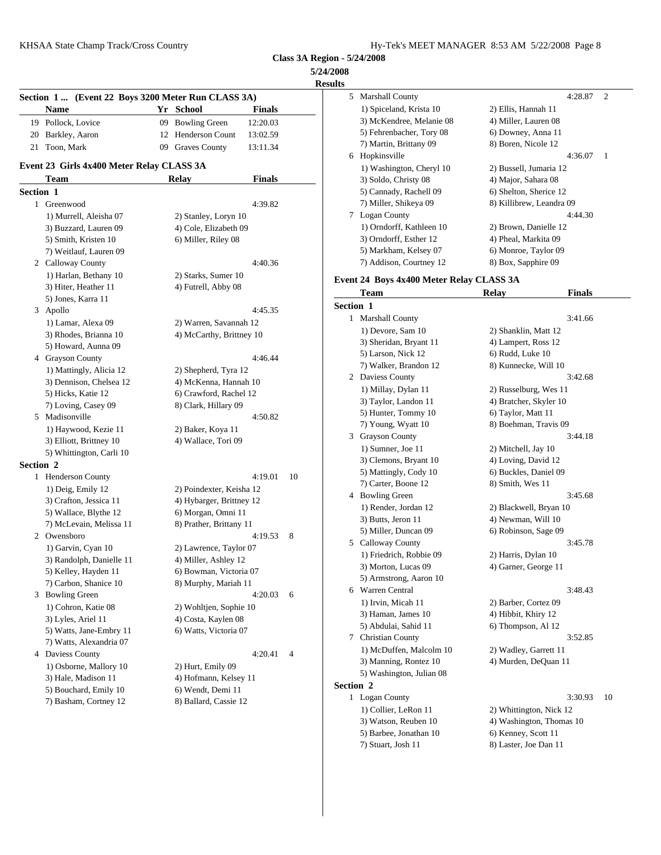**5/24/2008 Results**

|           |                                                    |                          |               |                | results             |
|-----------|----------------------------------------------------|--------------------------|---------------|----------------|---------------------|
|           | Section 1  (Event 22 Boys 3200 Meter Run CLASS 3A) |                          |               |                | 5 Marsh             |
|           | Name                                               | Yr School                | <b>Finals</b> |                | $1)$ Sp             |
|           | 19 Pollock, Lovice                                 | 09 Bowling Green         | 12:20.03      |                | $3)$ Mc             |
|           | 20 Barkley, Aaron                                  | 12 Henderson Count       | 13:02.59      |                | 5) Fel              |
|           | 21 Toon, Mark                                      | 09 Graves County         | 13:11.34      |                | 7) Ma               |
|           |                                                    |                          |               |                | 6 Hopk              |
|           | Event 23 Girls 4x400 Meter Relay CLASS 3A          |                          |               |                | $1)$ Wa             |
|           | Team                                               | <b>Relay</b>             | <b>Finals</b> |                | 3) Sol              |
| Section 1 |                                                    |                          |               |                | 5) Ca               |
|           | 1 Greenwood                                        |                          | 4:39.82       |                | 7) Mi               |
|           | 1) Murrell, Aleisha 07                             | 2) Stanley, Loryn 10     |               |                | 7<br>Logar          |
|           | 3) Buzzard, Lauren 09                              | 4) Cole, Elizabeth 09    |               |                | $1)$ Or             |
|           | 5) Smith, Kristen 10                               | 6) Miller, Riley 08      |               |                | $3)$ Ori            |
|           | 7) Weitlauf, Lauren 09                             |                          |               |                | 5) Ma               |
|           | 2 Calloway County                                  |                          | 4:40.36       |                | 7) Ad               |
|           | 1) Harlan, Bethany 10                              | 2) Starks, Sumer 10      |               |                | Event 24 B          |
|           | 3) Hiter, Heather 11                               | 4) Futrell, Abby 08      |               |                | Tean                |
|           | 5) Jones, Karra 11                                 |                          |               |                | Section 1           |
|           | 3 Apollo                                           |                          | 4:45.35       |                | 1 Marsh             |
|           | 1) Lamar, Alexa 09                                 | 2) Warren, Savannah 12   |               |                |                     |
|           | 3) Rhodes, Brianna 10                              | 4) McCarthy, Brittney 10 |               |                | $1)$ De             |
|           | 5) Howard, Aunna 09                                |                          |               |                | $3)$ Sho            |
|           | 4 Grayson County                                   |                          | 4:46.44       |                | 5) Lai<br>7) Wε     |
|           | 1) Mattingly, Alicia 12                            | 2) Shepherd, Tyra 12     |               |                | 2 Davie             |
|           | 3) Dennison, Chelsea 12                            | 4) McKenna, Hannah 10    |               |                |                     |
|           | 5) Hicks, Katie 12                                 | 6) Crawford, Rachel 12   |               |                | $1)$ Mi<br>3) Tay   |
|           | 7) Loving, Casey 09                                | 8) Clark, Hillary 09     |               |                |                     |
|           | 5 Madisonville                                     |                          | 4:50.82       |                | 5) Hu               |
|           | 1) Haywood, Kezie 11                               | 2) Baker, Koya 11        |               |                | 7) Yo<br>Grays<br>3 |
|           | 3) Elliott, Brittney 10                            | 4) Wallace, Tori 09      |               |                |                     |
|           | 5) Whittington, Carli 10                           |                          |               |                | 1) Su<br>$3)$ Cle   |
| Section 2 |                                                    |                          |               |                | 5) Ma               |
|           | 1 Henderson County                                 |                          | 4:19.01       | 10             | 7) Ca               |
|           | 1) Deig, Emily 12                                  | 2) Poindexter, Keisha 12 |               |                | 4 Bowli             |
|           | 3) Crafton, Jessica 11                             | 4) Hybarger, Brittney 12 |               |                | 1) Re               |
|           | 5) Wallace, Blythe 12                              | 6) Morgan, Omni 11       |               |                | 3) Bu               |
|           | 7) McLevain, Melissa 11                            | 8) Prather, Brittany 11  |               |                | 5) Mi               |
|           | 2 Owensboro                                        |                          | 4:19.53       | 8              | 5 Callo             |
|           | 1) Garvin, Cyan 10                                 | 2) Lawrence, Taylor 07   |               |                | 1) Fri              |
|           | 3) Randolph, Danielle 11                           | 4) Miller, Ashley 12     |               |                | 3) Mo               |
|           | 5) Kelley, Hayden 11                               | 6) Bowman, Victoria 07   |               |                | 5) Arı              |
|           | 7) Carbon, Shanice 10                              | 8) Murphy, Mariah 11     |               |                | 6 Warre             |
|           | 3 Bowling Green                                    |                          | 4:20.03       | 6              |                     |
|           | 1) Cohron, Katie 08                                | 2) Wohltjen, Sophie 10   |               |                | 1) Irv<br>3) Ha     |
|           | 3) Lyles, Ariel 11                                 | 4) Costa, Kaylen 08      |               |                | $5)$ Ab             |
|           | 5) Watts, Jane-Embry 11                            | 6) Watts, Victoria 07    |               |                | Christ<br>7         |
|           | 7) Watts, Alexandria 07                            |                          |               |                |                     |
|           | 4 Daviess County                                   |                          | 4:20.41       | $\overline{4}$ | 1) M                |
|           | 1) Osborne, Mallory 10                             | 2) Hurt, Emily 09        |               |                | 3) Ma               |
|           | 3) Hale, Madison 11                                | 4) Hofmann, Kelsey 11    |               |                | 5) Wa<br>Section 2  |
|           | 5) Bouchard, Emily 10                              | 6) Wendt, Demi 11        |               |                |                     |
|           | 7) Basham, Cortney 12                              | 8) Ballard, Cassie 12    |               |                | 1 Logar             |
|           |                                                    |                          |               |                | $1)$ Co             |
|           |                                                    |                          |               |                | $3)$ W <sub>2</sub> |

| ults      |                                           |                                     |
|-----------|-------------------------------------------|-------------------------------------|
|           | 5 Marshall County                         | 4:28.87<br>2                        |
|           | 1) Spiceland, Krista 10                   | 2) Ellis, Hannah 11                 |
|           | 3) McKendree, Melanie 08                  | 4) Miller, Lauren 08                |
|           | 5) Fehrenbacher, Tory 08                  | 6) Downey, Anna 11                  |
|           | 7) Martin, Brittany 09                    | 8) Boren, Nicole 12                 |
|           | 6 Hopkinsville                            | 4:36.07<br>1                        |
|           | 1) Washington, Cheryl 10                  | 2) Bussell, Jumaria 12              |
|           | 3) Soldo, Christy 08                      | 4) Major, Sahara 08                 |
|           | 5) Cannady, Rachell 09                    | 6) Shelton, Sherice 12              |
|           | 7) Miller, Shikeya 09<br>7 Logan County   | 8) Killibrew, Leandra 09<br>4:44.30 |
|           | 1) Orndorff, Kathleen 10                  | 2) Brown, Danielle 12               |
|           | 3) Orndorff, Esther 12                    | 4) Pheal, Markita 09                |
|           | 5) Markham, Kelsey 07                     | 6) Monroe, Taylor 09                |
|           | 7) Addison, Courtney 12                   | 8) Box, Sapphire 09                 |
|           |                                           |                                     |
|           | Event 24 Boys 4x400 Meter Relay CLASS 3A  |                                     |
|           | Team                                      | <b>Finals</b><br><b>Relay</b>       |
| Section 1 |                                           |                                     |
|           | 1 Marshall County                         | 3:41.66                             |
|           | 1) Devore, Sam 10                         | 2) Shanklin, Matt 12                |
|           | 3) Sheridan, Bryant 11                    | 4) Lampert, Ross 12                 |
|           | 5) Larson, Nick 12                        | 6) Rudd, Luke 10                    |
|           | 7) Walker, Brandon 12<br>2 Daviess County | 8) Kunnecke, Will 10<br>3:42.68     |
|           | 1) Millay, Dylan 11                       | 2) Russelburg, Wes 11               |
|           | 3) Taylor, Landon 11                      | 4) Bratcher, Skyler 10              |
|           | 5) Hunter, Tommy 10                       | 6) Taylor, Matt 11                  |
|           | 7) Young, Wyatt 10                        | 8) Boehman, Travis 09               |
|           | 3 Grayson County                          | 3:44.18                             |
|           | 1) Sumner, Joe 11                         | 2) Mitchell, Jay 10                 |
|           | 3) Clemons, Bryant 10                     | 4) Loving, David 12                 |
|           | 5) Mattingly, Cody 10                     | 6) Buckles, Daniel 09               |
|           | 7) Carter, Boone 12                       | 8) Smith, Wes 11                    |
|           | 4 Bowling Green                           | 3:45.68                             |
|           | 1) Render, Jordan 12                      | 2) Blackwell, Bryan 10              |
|           | 3) Butts, Jeron 11                        | 4) Newman, Will 10                  |
|           | 5) Miller, Duncan 09                      | 6) Robinson, Sage 09                |
|           | 5 Calloway County                         | 3:45.78                             |
|           | 1) Friedrich, Robbie 09                   | 2) Harris, Dylan 10                 |
|           | 3) Morton, Lucas 09                       | 4) Garner, George 11                |
|           | 5) Armstrong, Aaron 10                    |                                     |
|           | 6 Warren Central                          | 3:48.43                             |
|           | 1) Irvin, Micah 11                        | 2) Barber, Cortez 09                |
|           | 3) Haman, James 10                        | 4) Hibbit, Khiry 12                 |
|           | 5) Abdulai, Sahid 11                      | 6) Thompson, Al 12                  |
|           | 7 Christian County                        | 3:52.85                             |
|           | 1) McDuffen, Malcolm 10                   | 2) Wadley, Garrett 11               |
|           | 3) Manning, Rontez 10                     | 4) Murden, DeQuan 11                |
|           | 5) Washington, Julian 08                  |                                     |
| Section 2 |                                           |                                     |
|           | 1 Logan County                            | 3:30.93<br>10                       |
|           | 1) Collier, LeRon 11                      | 2) Whittington, Nick 12             |
|           | 3) Watson, Reuben 10                      | 4) Washington, Thomas 10            |
|           | 5) Barbee, Jonathan 10                    | 6) Kenney, Scott 11                 |
|           | 7) Stuart, Josh 11                        | 8) Laster, Joe Dan 11               |
|           |                                           |                                     |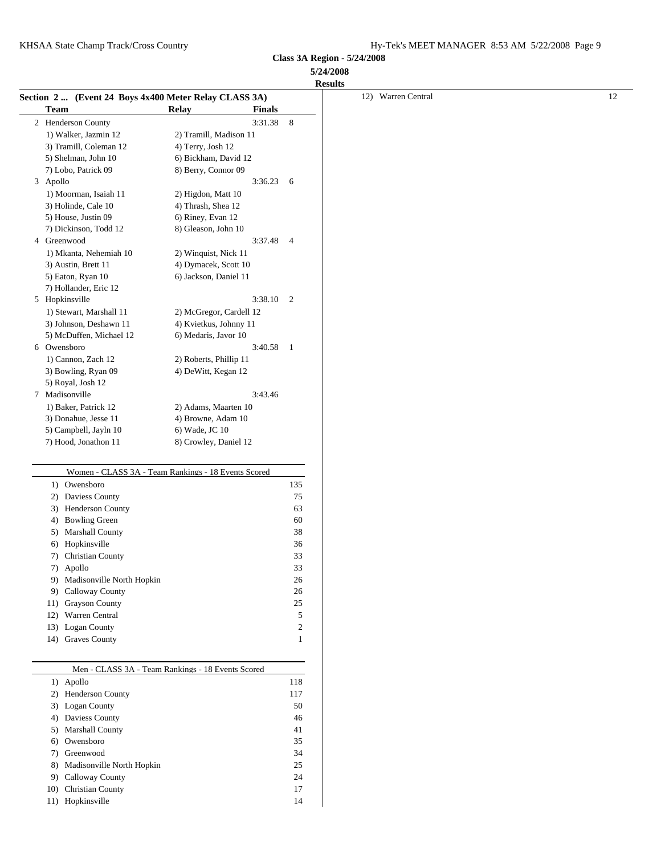**Class 3A Region - 5/24/2008 5/24/2008**

|                                                       |                                                     |               |                | <b>Results</b>     |    |
|-------------------------------------------------------|-----------------------------------------------------|---------------|----------------|--------------------|----|
| Section 2  (Event 24 Boys 4x400 Meter Relay CLASS 3A) |                                                     |               |                | 12) Warren Central | 12 |
| <b>Team</b>                                           | <b>Relay</b>                                        | <b>Finals</b> |                |                    |    |
| 2 Henderson County                                    |                                                     | 3:31.38 8     |                |                    |    |
| 1) Walker, Jazmin 12                                  | 2) Tramill, Madison 11                              |               |                |                    |    |
| 3) Tramill, Coleman 12                                | 4) Terry, Josh 12                                   |               |                |                    |    |
| 5) Shelman, John 10                                   | 6) Bickham, David 12                                |               |                |                    |    |
| 7) Lobo, Patrick 09                                   | 8) Berry, Connor 09                                 |               |                |                    |    |
| 3 Apollo                                              |                                                     | 3:36.23       | - 6            |                    |    |
| 1) Moorman, Isaiah 11                                 | 2) Higdon, Matt 10                                  |               |                |                    |    |
| 3) Holinde, Cale 10                                   | 4) Thrash, Shea 12                                  |               |                |                    |    |
| 5) House, Justin 09                                   | 6) Riney, Evan 12                                   |               |                |                    |    |
| 7) Dickinson, Todd 12                                 | 8) Gleason, John 10                                 |               |                |                    |    |
| 4 Greenwood                                           |                                                     | 3:37.48       | $\overline{4}$ |                    |    |
| 1) Mkanta, Nehemiah 10                                | 2) Winquist, Nick 11                                |               |                |                    |    |
| 3) Austin, Brett 11                                   | 4) Dymacek, Scott 10                                |               |                |                    |    |
| 5) Eaton, Ryan 10                                     | 6) Jackson, Daniel 11                               |               |                |                    |    |
| 7) Hollander, Eric 12                                 |                                                     |               |                |                    |    |
| 5 Hopkinsville                                        |                                                     | 3:38.10       | $\overline{2}$ |                    |    |
| 1) Stewart, Marshall 11                               | 2) McGregor, Cardell 12                             |               |                |                    |    |
| 3) Johnson, Deshawn 11                                | 4) Kvietkus, Johnny 11                              |               |                |                    |    |
| 5) McDuffen, Michael 12                               | 6) Medaris, Javor 10                                |               |                |                    |    |
| 6 Owensboro                                           |                                                     | 3:40.58       | $\overline{1}$ |                    |    |
| 1) Cannon, Zach 12                                    | 2) Roberts, Phillip 11                              |               |                |                    |    |
| 3) Bowling, Ryan 09                                   | 4) DeWitt, Kegan 12                                 |               |                |                    |    |
| 5) Royal, Josh 12                                     |                                                     |               |                |                    |    |
| 7 Madisonville                                        |                                                     | 3:43.46       |                |                    |    |
| 1) Baker, Patrick 12                                  | 2) Adams, Maarten 10                                |               |                |                    |    |
| 3) Donahue, Jesse 11                                  | 4) Browne, Adam 10                                  |               |                |                    |    |
| 5) Campbell, Jayln 10                                 | 6) Wade, JC 10                                      |               |                |                    |    |
| 7) Hood, Jonathon 11                                  | 8) Crowley, Daniel 12                               |               |                |                    |    |
|                                                       |                                                     |               |                |                    |    |
|                                                       | Women - CLASS 3A - Team Rankings - 18 Events Scored |               |                |                    |    |
| 1) Owensboro                                          |                                                     |               | 135            |                    |    |
| 2) Daviess County                                     |                                                     |               | 75             |                    |    |
| 3) Henderson County                                   |                                                     |               | 63             |                    |    |
| 4) Bowling Green                                      |                                                     |               | 60             |                    |    |
| 5) Marshall County                                    |                                                     |               | 38             |                    |    |
| 6) Hopkinsville                                       |                                                     |               | 36             |                    |    |
| 7) Christian County                                   |                                                     |               | 33             |                    |    |
| 7) Apollo                                             |                                                     |               | 33             |                    |    |
| 9) Madisonville North Hopkin                          |                                                     |               | 26             |                    |    |
| 9) Calloway County                                    |                                                     |               | 26             |                    |    |
| 11) Grayson County                                    |                                                     |               | 25             |                    |    |
| 12) Warren Central                                    |                                                     |               | 5              |                    |    |
| 13) Logan County                                      |                                                     |               | 2              |                    |    |
| 14) Graves County                                     |                                                     |               | 1              |                    |    |
|                                                       |                                                     |               |                |                    |    |
|                                                       | Men - CLASS 3A - Team Rankings - 18 Events Scored   |               |                |                    |    |
| 1) Apollo                                             |                                                     |               | 118            |                    |    |
| 2) Henderson County                                   |                                                     |               | 117            |                    |    |
| 3) Logan County                                       |                                                     |               | $50\,$         |                    |    |
| 4) Daviess County                                     |                                                     |               | 46             |                    |    |
| 5) Marshall County                                    |                                                     |               | 41             |                    |    |
| 6) Owensboro                                          |                                                     |               | 35             |                    |    |
| 7) Greenwood                                          |                                                     |               | 34             |                    |    |
| 8) Madisonville North Hopkin                          |                                                     |               | 25             |                    |    |
| 9) Calloway County                                    |                                                     |               | 24             |                    |    |
| 10) Christian County                                  |                                                     |               | 17             |                    |    |
| 11) Hopkinsville                                      |                                                     |               | 14             |                    |    |
|                                                       |                                                     |               |                |                    |    |